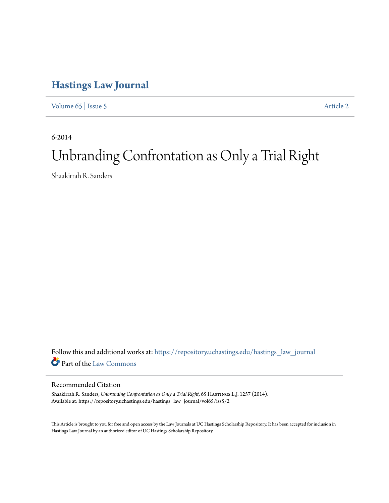## **[Hastings Law Journal](https://repository.uchastings.edu/hastings_law_journal?utm_source=repository.uchastings.edu%2Fhastings_law_journal%2Fvol65%2Fiss5%2F2&utm_medium=PDF&utm_campaign=PDFCoverPages)**

[Volume 65](https://repository.uchastings.edu/hastings_law_journal/vol65?utm_source=repository.uchastings.edu%2Fhastings_law_journal%2Fvol65%2Fiss5%2F2&utm_medium=PDF&utm_campaign=PDFCoverPages) | [Issue 5](https://repository.uchastings.edu/hastings_law_journal/vol65/iss5?utm_source=repository.uchastings.edu%2Fhastings_law_journal%2Fvol65%2Fiss5%2F2&utm_medium=PDF&utm_campaign=PDFCoverPages) [Article 2](https://repository.uchastings.edu/hastings_law_journal/vol65/iss5/2?utm_source=repository.uchastings.edu%2Fhastings_law_journal%2Fvol65%2Fiss5%2F2&utm_medium=PDF&utm_campaign=PDFCoverPages)

6-2014

# Unbranding Confrontation as Only a Trial Right

Shaakirrah R. Sanders

Follow this and additional works at: [https://repository.uchastings.edu/hastings\\_law\\_journal](https://repository.uchastings.edu/hastings_law_journal?utm_source=repository.uchastings.edu%2Fhastings_law_journal%2Fvol65%2Fiss5%2F2&utm_medium=PDF&utm_campaign=PDFCoverPages) Part of the [Law Commons](http://network.bepress.com/hgg/discipline/578?utm_source=repository.uchastings.edu%2Fhastings_law_journal%2Fvol65%2Fiss5%2F2&utm_medium=PDF&utm_campaign=PDFCoverPages)

### Recommended Citation

Shaakirrah R. Sanders, *Unbranding Confrontation as Only a Trial Right*, 65 HASTINGS L.J. 1257 (2014). Available at: https://repository.uchastings.edu/hastings\_law\_journal/vol65/iss5/2

This Article is brought to you for free and open access by the Law Journals at UC Hastings Scholarship Repository. It has been accepted for inclusion in Hastings Law Journal by an authorized editor of UC Hastings Scholarship Repository.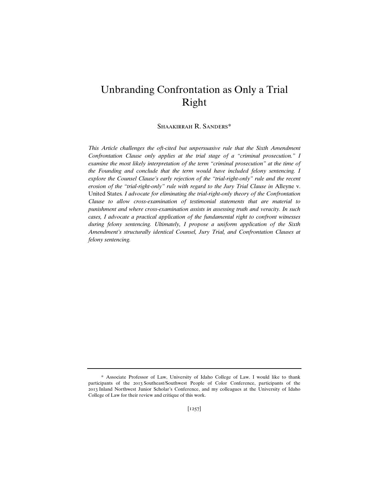## Unbranding Confrontation as Only a Trial Right

Shaakirrah R. Sanders\*

*This Article challenges the oft-cited but unpersuasive rule that the Sixth Amendment Confrontation Clause only applies at the trial stage of a "criminal prosecution." I examine the most likely interpretation of the term "criminal prosecution" at the time of*  the Founding and conclude that the term would have included felony sentencing. I explore the Counsel Clause's early rejection of the "trial-right-only" rule and the recent *erosion of the "trial-right-only" rule with regard to the Jury Trial Clause in Alleyne v.* United States*. I advocate for eliminating the trial-right-only theory of the Confrontation Clause to allow cross-examination of testimonial statements that are material to punishment and where cross-examination assists in assessing truth and veracity. In such cases, I advocate a practical application of the fundamental right to confront witnesses during felony sentencing. Ultimately, I propose a uniform application of the Sixth Amendment's structurally identical Counsel, Jury Trial, and Confrontation Clauses at felony sentencing.*

<sup>\*</sup> Associate Professor of Law, University of Idaho College of Law. I would like to thank participants of the 2013 Southeast/Southwest People of Color Conference, participants of the 2013 Inland Northwest Junior Scholar's Conference, and my colleagues at the University of Idaho College of Law for their review and critique of this work.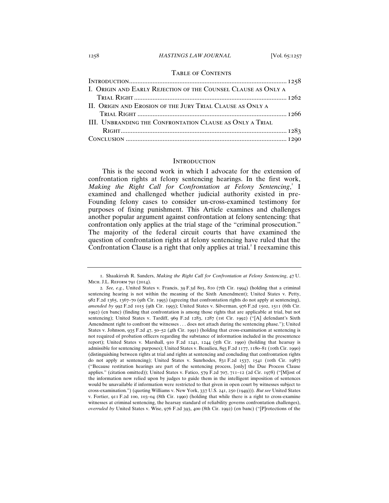#### 1258 *HASTINGS LAW JOURNAL* [Vol. 65:1257

#### Table of Contents

| I. ORIGIN AND EARLY REJECTION OF THE COUNSEL CLAUSE AS ONLY A |  |
|---------------------------------------------------------------|--|
|                                                               |  |
| II. ORIGIN AND EROSION OF THE JURY TRIAL CLAUSE AS ONLY A     |  |
|                                                               |  |
| III. UNBRANDING THE CONFRONTATION CLAUSE AS ONLY A TRIAL      |  |
|                                                               |  |
|                                                               |  |
|                                                               |  |

#### **INTRODUCTION**

This is the second work in which I advocate for the extension of confrontation rights at felony sentencing hearings. In the first work, Making the Right Call for Confrontation at Felony Sentencing,<sup>1</sup> I examined and challenged whether judicial authority existed in pre-Founding felony cases to consider un-cross-examined testimony for purposes of fixing punishment. This Article examines and challenges another popular argument against confrontation at felony sentencing: that confrontation only applies at the trial stage of the "criminal prosecution." The majority of the federal circuit courts that have examined the question of confrontation rights at felony sentencing have ruled that the Confrontation Clause is a right that only applies at trial.<sup>2</sup> I reexamine this

<sup>1</sup>. Shaakirrah R. Sanders, *Making the Right Call for Confrontation at Felony Sentencing*, 47 U. Mich. J.L. Reform 791 (2014).

<sup>2</sup>*. See, e.g.*, United States v. Francis, 39 F.3d 803, 810 (7th Cir. 1994) (holding that a criminal sentencing hearing is not within the meaning of the Sixth Amendment); United States v. Petty, 982 F.2d 1365, 1367–70 (9th Cir. 1993) (agreeing that confrontation rights do not apply at sentencing), *amended by* 992 F.2d 1015 (9th Cir. 1993); United States v. Silverman, 976 F.2d 1502, 1511 (6th Cir. 1992) (en banc) (finding that confrontation is among those rights that are applicable at trial, but not sentencing); United States v. Tardiff, 969 F.2d 1283, 1287 (1st Cir. 1992) ("[A] defendant's Sixth Amendment right to confront the witnesses . . . does not attach during the sentencing phase."); United States v. Johnson, 935 F.2d 47, 50–52 (4th Cir. 1991) (holding that cross-examination at sentencing is not required of probation officers regarding the substance of information included in the presentence report); United States v. Marshall, 910 F.2d 1241, 1244 (5th Cir. 1990) (holding that hearsay is admissible for sentencing purposes); United States v. Beaulieu, 893 F.2d 1177, 1180–81 (10th Cir. 1990) (distinguishing between rights at trial and rights at sentencing and concluding that confrontation rights do not apply at sentencing); United States v. Sunrhodes, 831 F.2d 1537, 1541 (10th Cir. 1987) ("Because restitution hearings are part of the sentencing process, [only] the Due Process Clause applies." (citation omitted)); United States v. Fatico, 579 F.2d 707, 711–12 (2d Cir. 1978) ("[M]ost of the information now relied upon by judges to guide them in the intelligent imposition of sentences would be unavailable if information were restricted to that given in open court by witnesses subject to cross-examination.") (quoting Williams v. New York, 337 U.S. 241, 250 (1949))). *But see* United States v. Fortier, 911 F.2d 100, 103–04 (8th Cir. 1990) (holding that while there is a right to cross-examine witnesses at criminal sentencing, the hearsay standard of reliability governs confrontation challenges), *overruled by* United States v. Wise, 976 F.2d 393, 400 (8th Cir. 1992) (en banc) ("[P]rotections of the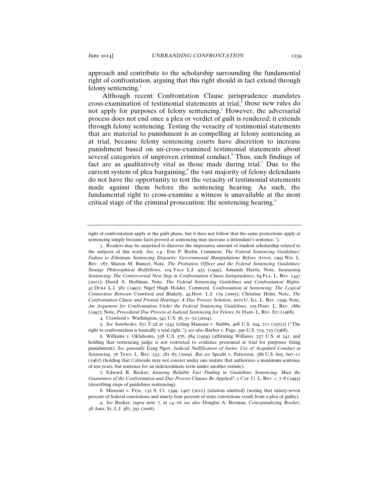approach and contribute to the scholarship surrounding the fundamental right of confrontation, arguing that this right should in fact extend through felony sentencing.<sup>3</sup>

Although recent Confrontation Clause jurisprudence mandates cross-examination of testimonial statements at trial, $\hat{i}$  those new rules do not apply for purposes of felony sentencing.<sup>5</sup> However, the adversarial process does not end once a plea or verdict of guilt is rendered; it extends through felony sentencing. Testing the veracity of testimonial statements that are material to punishment is as compelling at felony sentencing as at trial, because felony sentencing courts have discretion to increase punishment based on un-cross-examined testimonial statements about several categories of unproven criminal conduct. Thus, such findings of fact are as qualitatively vital as those made during trial.<sup>7</sup> Due to the current system of plea bargaining, $\delta$  the vast majority of felony defendants do not have the opportunity to test the veracity of testimonial statements made against them before the sentencing hearing. As such, the fundamental right to cross-examine a witness is unavailable at the most critical stage of the criminal prosecution: the sentencing hearing.<sup>9</sup>

4. Crawford v. Washington, 541 U.S. 36, 51–52 (2004).

5*. See Sunrhodes*, 831 F.2d at 1543 (citing Mancusi v. Stubbs, 408 U.S. 204, 211 (1972)) ("The right to confrontation is basically a trial right."); *see also* Barber v. Page, 390 U.S. 719, 725 (1968).

6. Williams v. Oklahoma, 358 U.S. 576, 584 (1959) (affirming *Williams*, 337 U.S. at 241, and holding that sentencing judge is not restricted to evidence presented at trial for purposes fixing punishment). *See generally* Eang Ngov, *Judicial Nullification of Juries: Use of Acquitted Conduct at Sentencing*, 76 Tenn. L. Rev. 235, 281–83 (2009). *But see* Specht v. Patterson, 386 U.S. 605, 607–11 (1967) (holding that Colorado may not convict under one statute that authorizes a maximum sentence of ten years, but sentence for an indeterminate term under another statute).

7. Edward R. Becker, *Insuring Reliable Fact Finding in Guidelines Sentencing: Must the Guarantees of the Confrontation and Due Process Clauses Be Applied?*, 2 Cap. U. L. Rev. 1, 7–8 (1993) (describing steps of guidelines sentencing).

8. Missouri v. Frye, 132 S. Ct. 1399, 1407 (2012) (citation omitted) (noting that ninety-seven percent of federal convictions and ninety-four percent of state convictions result from a plea of guilty).

9. *See* Becker, *supra* note 7, at 14–16; *see also* Douglas A. Berman, *Conceptualizing Booker*, 38 Ariz. St. L.J. 387, 391 (2006).

right of confrontation apply at the guilt phase, but it does not follow that the same protections apply at sentencing simply because facts proved at sentencing may increase a defendant's sentence.").

<sup>3</sup>. Readers may be surprised to discover the impressive amount of student scholarship related to the subjects of this work. *See, e.g.*, Eric P. Berlin, Comment, *The Federal Sentencing Guidelines' Failure to Eliminate Sentencing Disparity: Governmental Manipulations Before Arrest*, 1993 Wis. L. Rev. 187; Sharon M. Bunzel, Note, *The Probation Officer and the Federal Sentencing Guidelines: Strange Philosophical Bedfellows*, 104 Yale L.J. 933 (1995); Amanda Harris, Note, *Surpassing Sentencing: The Controversial Next Step in Confrontation Clause Jurisprudence*, 64 Fla. L. Rev. 1447 (2012); David A. Hoffman, Note, *The Federal Sentencing Guidelines and Confrontation Rights*, 42 Duke L.J. 382 (1992); Nigel Hugh Holder, Comment, *Confrontation at Sentencing: The Logical Connection Between* Crawford *and* Blakely, 49 How. L.J. 179 (2005); Christine Holst, Note, *The Confrontation Clause and Pretrial Hearings: A Due Process Solution*, 2010 U. Ill. L. Rev. 1599; Note, *An Argument for Confrontation Under the Federal Sentencing Guidelines*, 105 Harv. L. Rev. 1880 (1992); Note, *Procedural Due Process at Judicial Sentencing for Felony*, 81 Harv. L. Rev. 821 (1968).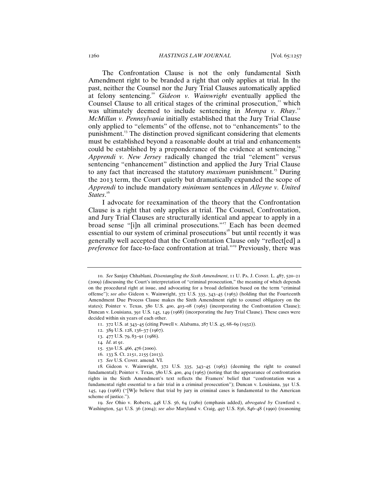The Confrontation Clause is not the only fundamental Sixth Amendment right to be branded a right that only applies at trial. In the past, neither the Counsel nor the Jury Trial Clauses automatically applied at felony sentencing.<sup>10</sup> *Gideon v. Wainwright* eventually applied the Counsel Clause to all critical stages of the criminal prosecution, $\mathrm{I}^{\mathrm{II}}$  which was ultimately deemed to include sentencing in *Mempa v. Rhay.*<sup>12</sup> *McMillan v. Pennsylvania* initially established that the Jury Trial Clause only applied to "elements" of the offense, not to "enhancements" to the punishment.<sup>13</sup> The distinction proved significant considering that elements must be established beyond a reasonable doubt at trial and enhancements could be established by a preponderance of the evidence at sentencing.<sup>14</sup> *Apprendi v. New Jersey* radically changed the trial "element" versus sentencing "enhancement" distinction and applied the Jury Trial Clause to any fact that increased the statutory *maximum* punishment.<sup>15</sup> During the 2013 term, the Court quietly but dramatically expanded the scope of *Apprendi* to include mandatory *minimum* sentences in *Alleyne v. United*  States.<sup>16</sup>

I advocate for reexamination of the theory that the Confrontation Clause is a right that only applies at trial. The Counsel, Confrontation, and Jury Trial Clauses are structurally identical and appear to apply in a broad sense "[i]n all criminal prosecutions."<sup>17</sup> Each has been deemed essential to our system of criminal prosecutions<sup>18</sup> but until recently it was generally well accepted that the Confrontation Clause only "reflect[ed] a *preference* for face-to-face confrontation at trial."<sup>19</sup> Previously, there was

- 16. 133 S. Ct. 2151, 2155 (2013).
- 17. See U.S. Const. amend. VI.

19. *See* Ohio v. Roberts, 448 U.S. 56, 64 (1980) (emphasis added), *abrogated by* Crawford v. Washington, 541 U.S. 36 (2004); *see also* Maryland v. Craig, 497 U.S. 836, 846–48 (1990) (reasoning

<sup>10</sup>. *See* Sanjay Chhablani, *Disentangling the Sixth Amendment*, 11 U. Pa. J. Const. L. 487, 520–21 (2009) (discussing the Court's interpretation of "criminal prosecution," the meaning of which depends on the procedural right at issue, and advocating for a broad definition based on the term "criminal offense"); *see also* Gideon v. Wainwright, 372 U.S. 335, 343–45 (1963) (holding that the Fourteenth Amendment Due Process Clause makes the Sixth Amendment right to counsel obligatory on the states); Pointer v. Texas, 380 U.S. 400, 403–08 (1965) (incorporating the Confrontation Clause); Duncan v. Louisiana, 391 U.S. 145, 149 (1968) (incorporating the Jury Trial Clause). These cases were decided within six years of each other.

<sup>11</sup>. 372 U.S. at 343–45 (citing Powell v. Alabama, 287 U.S. 45, 68–69 (1932)).

<sup>12</sup>. 389 U.S. 128, 136–37 (1967).

<sup>13</sup>. 477 U.S. 79, 83–91 (1986).

<sup>14</sup>*. Id*. at 91.

<sup>15</sup>. 530 U.S. 466, 476 (2000).

<sup>18</sup>*.* Gideon v. Wainwright, 372 U.S. 335, 343–45 (1963) (deeming the right to counsel fundamental); Pointer v. Texas, 380 U.S. 400, 404 (1965) (noting that the appearance of confrontation rights in the Sixth Amendment's text reflects the Framers' belief that "confrontation was a fundamental right essential to a fair trial in a criminal prosecution"); Duncan v. Louisiana, 391 U.S. 145, 149 (1968) ("[W]e believe that trial by jury in criminal cases is fundamental to the American scheme of justice.").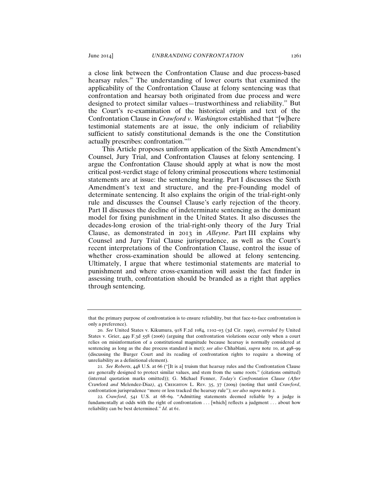a close link between the Confrontation Clause and due process-based hearsay rules.<sup>20</sup> The understanding of lower courts that examined the applicability of the Confrontation Clause at felony sentencing was that confrontation and hearsay both originated from due process and were designed to protect similar values—trustworthiness and reliability. $21$  But the Court's re-examination of the historical origin and text of the Confrontation Clause in *Crawford v. Washington* established that "[w]here testimonial statements are at issue, the only indicium of reliability sufficient to satisfy constitutional demands is the one the Constitution actually prescribes: confrontation."<sup>22</sup>

This Article proposes uniform application of the Sixth Amendment's Counsel, Jury Trial, and Confrontation Clauses at felony sentencing. I argue the Confrontation Clause should apply at what is now the most critical post-verdict stage of felony criminal prosecutions where testimonial statements are at issue: the sentencing hearing. Part I discusses the Sixth Amendment's text and structure, and the pre-Founding model of determinate sentencing. It also explains the origin of the trial-right-only rule and discusses the Counsel Clause's early rejection of the theory. Part II discusses the decline of indeterminate sentencing as the dominant model for fixing punishment in the United States. It also discusses the decades-long erosion of the trial-right-only theory of the Jury Trial Clause, as demonstrated in 2013 in *Alleyne*. Part III explains why Counsel and Jury Trial Clause jurisprudence, as well as the Court's recent interpretations of the Confrontation Clause, control the issue of whether cross-examination should be allowed at felony sentencing. Ultimately, I argue that where testimonial statements are material to punishment and where cross-examination will assist the fact finder in assessing truth, confrontation should be branded as a right that applies through sentencing.

that the primary purpose of confrontation is to ensure reliability, but that face-to-face confrontation is only a preference).

<sup>20</sup>. *See* United States v. Kikumura, 918 F.2d 1084, 1102–03 (3d Cir. 1990), *overruled by* United States v. Grier, 449 F.3d 558 (2006) (arguing that confrontation violations occur only when a court relies on misinformation of a constitutional magnitude because hearsay is normally considered at sentencing as long as the due process standard is met); *see also* Chhablani, *supra* note 10, at 498–99 (discussing the Burger Court and its reading of confrontation rights to require a showing of unreliability as a definitional element).

<sup>21</sup>*. See Roberts*, 448 U.S. at 66 ("[It is a] truism that hearsay rules and the Confrontation Clause are generally designed to protect similar values, and stem from the same roots." (citations omitted) (internal quotation marks omitted)); G. Michael Fenner, *Today's Confrontation Clause (After*  Crawford *and* Melendez-Diaz*)*, 43 Creighton L. Rev. 35, 37 (2009) (noting that until *Crawford*, confrontation jurisprudence "more or less tracked the hearsay rule"); *see also supra* note 2.

<sup>22</sup>*. Crawford*, 541 U.S. at 68–69. "Admitting statements deemed reliable by a judge is fundamentally at odds with the right of confrontation . . . [which] reflects a judgment . . . about how reliability can be best determined." *Id.* at 61.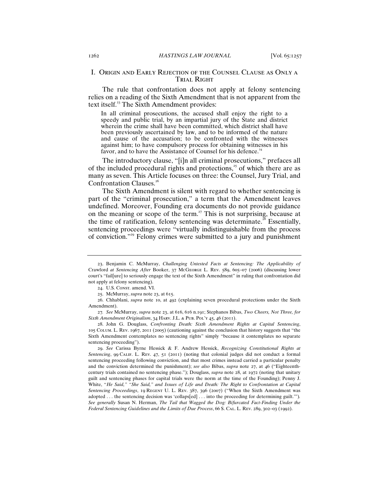#### I. Origin and Early Rejection of the Counsel Clause as Only a TRIAL RIGHT

The rule that confrontation does not apply at felony sentencing relies on a reading of the Sixth Amendment that is not apparent from the text itself.<sup>23</sup> The Sixth Amendment provides:

In all criminal prosecutions, the accused shall enjoy the right to a speedy and public trial, by an impartial jury of the State and district wherein the crime shall have been committed, which district shall have been previously ascertained by law, and to be informed of the nature and cause of the accusation; to be confronted with the witnesses against him; to have compulsory process for obtaining witnesses in his favor, and to have the Assistance of Counsel for his defence.<sup>24</sup>

The introductory clause, "[i]n all criminal prosecutions," prefaces all of the included procedural rights and protections, $25$  of which there are as many as seven. This Article focuses on three: the Counsel, Jury Trial, and Confrontation Clauses.<sup>26</sup>

The Sixth Amendment is silent with regard to whether sentencing is part of the "criminal prosecution," a term that the Amendment leaves undefined. Moreover, Founding era documents do not provide guidance on the meaning or scope of the term.<sup>27</sup> This is not surprising, because at the time of ratification, felony sentencing was determinate.<sup>28</sup> Essentially, sentencing proceedings were "virtually indistinguishable from the process of conviction."<sup>29</sup> Felony crimes were submitted to a jury and punishment

29. *See* Carissa Byrne Hessick & F. Andrew Hessick, *Recognizing Constitutional Rights at Sentencing*, 99 Calif. L. Rev. 47, 51 (2011) (noting that colonial judges did not conduct a formal sentencing proceeding following conviction, and that most crimes instead carried a particular penalty and the conviction determined the punishment); *see also* Bibas, *supra* note 27, at 46 ("Eighteenthcentury trials contained no sentencing phase."); Douglass, *supra* note 28, at 1972 (noting that unitary guilt and sentencing phases for capital trials were the norm at the time of the Founding); Penny J. White, "*He Said," "She Said," and Issues of Life and Death: The Right to Confrontation at Capital Sentencing Proceedings*, 19 Regent U. L. Rev. 387, 396 (2007) ("When the Sixth Amendment was adopted . . . the sentencing decision was 'collaps[ed] . . . into the proceeding for determining guilt.'")*. See generally* Susan N. Herman, *The Tail that Wagged the Dog: Bifurcated Fact-Finding Under the Federal Sentencing Guidelines and the Limits of Due Process*, 66 S. Cal. L. Rev. 289, 302–03 (1992).

<sup>23</sup>. Benjamin C. McMurray, *Challenging Untested Facts at Sentencing: The Applicability of* Crawford *at Sentencing After* Booker, 37 McGeorge L. Rev. 589, 605–07 (2006) (discussing lower court's "fail[ure] to seriously engage the text of the Sixth Amendment" in ruling that confrontation did not apply at felony sentencing).

<sup>24.</sup> U.S. Const. amend. VI.

<sup>25</sup>. McMurray, *supra* note 23, at 615.

<sup>26</sup>. Chhablani, *supra* note 10, at 492 (explaining seven procedural protections under the Sixth Amendment).

<sup>27</sup>*. See* McMurray, *supra* note 23, at 616, 616 n.191; Stephanos Bibas, *Two Cheers, Not Three, for Sixth Amendment Originalism*, 34 Harv. J.L. & Pub. Pol'y 45, 46 (2011).

<sup>28</sup>. John G. Douglass, *Confronting Death: Sixth Amendment Rights at Capital Sentencing*, 105 Colum. L. Rev. 1967, 2011 (2005) (cautioning against the conclusion that history suggests that "the Sixth Amendment contemplates no sentencing rights" simply "because it contemplates no separate sentencing proceeding").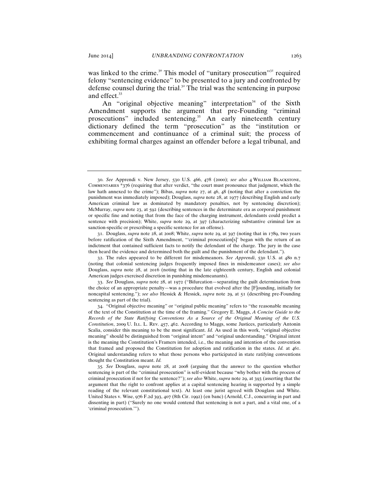was linked to the crime.<sup>30</sup> This model of "unitary prosecution"<sup>31</sup> required felony "sentencing evidence" to be presented to a jury and confronted by defense counsel during the trial. $3<sup>2</sup>$  The trial was the sentencing in purpose and effect.<sup>33</sup>

An "original objective meaning" interpretation<sup>34</sup> of the Sixth Amendment supports the argument that pre-Founding "criminal prosecutions" included sentencing.<sup>35</sup> An early nineteenth century dictionary defined the term "prosecution" as the "institution or commencement and continuance of a criminal suit; the process of exhibiting formal charges against an offender before a legal tribunal, and

31. Douglass, *supra* note 28, at 2008; White, *supra* note 29, at 397 (noting that in 1789, two years before ratification of the Sixth Amendment, "'criminal prosecution[s]' began with the return of an indictment that contained sufficient facts to notify the defendant of the charge. The jury in the case then heard the evidence and determined both the guilt and the punishment of the defendant.").

<sup>30</sup>. *See* Apprendi v. New Jersey, 530 U.S. 466, 478 (2000); *see also* 4 William Blackstone, Commentaries \*376 (requiring that after verdict, "the court must pronounce that judgment, which the law hath annexed to the crime"); Bibas, *supra* note 27, at 46, 48 (noting that after a conviction the punishment was immediately imposed); Douglass, *supra* note 28, at 1977 (describing English and early American criminal law as dominated by mandatory penalties, not by sentencing discretion); McMurray, *supra* note 23, at 592 (describing sentences in the determinate era as corporal punishment or specific fine and noting that from the face of the charging instrument, defendants could predict a sentence with precision); White, *supra* note 29, at 397 (characterizing substantive criminal law as sanction-specific or prescribing a specific sentence for an offense).

<sup>32</sup>. The rules appeared to be different for misdemeanors. *See Apprendi*, 530 U.S. at 480 n.7 (noting that colonial sentencing judges frequently imposed fines in misdemeanor cases); *see also* Douglass, *supra* note 28, at 2016 (noting that in the late eighteenth century, English and colonial American judges exercised discretion in punishing misdemeanants).

<sup>33</sup>. *See* Douglass, *supra* note 28, at 1972 ("Bifurcation—separating the guilt determination from the choice of an appropriate penalty—was a procedure that evolved after the [F]ounding, initially for noncapital sentencing."); *see also* Hessick & Hessick, *supra* note 29, at 51 (describing pre-Founding sentencing as part of the trial).

<sup>34</sup>. "Original objective meaning" or "original public meaning" refers to "the reasonable meaning of the text of the Constitution at the time of the framing." Gregory E. Maggs, *A Concise Guide to the Records of the State Ratifying Conventions As a Source of the Original Meaning of the U.S. Constitution*, 2009 U. ILL. L. Rev. 457, 462. According to Maggs, some Justices, particularly Antonin Scalia, consider this meaning to be the most significant. *Id.* As used in this work, "original objective meaning" should be distinguished from "original intent" and "original understanding." Original intent is the meaning the Constitution's Framers intended, i.e., the meaning and intention of the convention that framed and proposed the Constitution for adoption and ratification in the states. *Id.* at 461. Original understanding refers to what those persons who participated in state ratifying conventions thought the Constitution meant. *Id.*

<sup>35</sup>*. See* Douglass, *supra* note 28, at 2008 (arguing that the answer to the question whether sentencing is part of the "criminal prosecution" is self-evident because "why bother with the process of criminal prosecution if not for the sentence?"); *see also* White, *supra* note 29, at 393 (asserting that the argument that the right to confront applies at a capital sentencing hearing is supported by a simple reading of the relevant constitutional text). At least one jurist agreed with Douglass and White. United States v. Wise, 976 F.2d 393, 407 (8th Cir. 1992) (en banc) (Arnold, C.J., concurring in part and dissenting in part) ("Surely no one would contend that sentencing is not a part, and a vital one, of a 'criminal prosecution.'").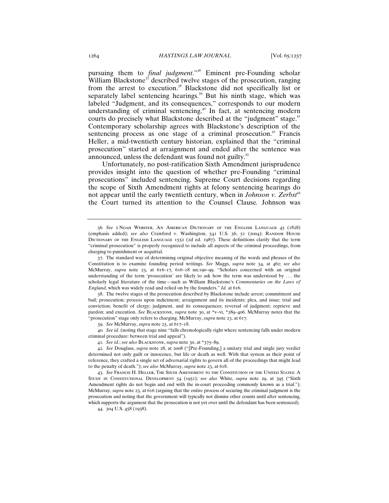pursuing them to *final judgment*."<sup>36</sup> Eminent pre-Founding scholar William Blackstone<sup>37</sup> described twelve stages of the prosecution, ranging from the arrest to execution.<sup>38</sup> Blackstone did not specifically list or separately label sentencing hearings.<sup>39</sup> But his ninth stage, which was labeled "Judgment, and its consequences," corresponds to our modern understanding of criminal sentencing.<sup>40</sup> In fact, at sentencing modern courts do precisely what Blackstone described at the "judgment" stage.<sup>41</sup> Contemporary scholarship agrees with Blackstone's description of the sentencing process as one stage of a criminal prosecution.<sup>42</sup> Francis Heller, a mid-twentieth century historian, explained that the "criminal prosecution" started at arraignment and ended after the sentence was announced, unless the defendant was found not guilty.<sup>43</sup>

Unfortunately, no post-ratification Sixth Amendment jurisprudence provides insight into the question of whether pre-Founding "criminal prosecutions" included sentencing. Supreme Court decisions regarding the scope of Sixth Amendment rights at felony sentencing hearings do not appear until the early twentieth century, when in *Johnson v. Zerbst<sup>44</sup>* the Court turned its attention to the Counsel Clause*.* Johnson was

38. The twelve stages of the prosecution described by Blackstone include arrest; commitment and bail; prosecution; process upon indictment; arraignment and its incidents; plea, and issue; trial and conviction; benefit of clergy; judgment, and its consequences; reversal of judgment; reprieve and pardon; and execution. *See BLACKSTONE*, *supra* note 30, at \*v-vi, \*289-406. McMurray notes that the "prosecution" stage only refers to charging. McMurray, *supra* note 23, at 617.

39. *See* McMurray, *supra* note 23, at 617–18.

40*. See id.* (noting that stage nine "falls chronologically right where sentencing falls under modern criminal procedure: between trial and appeal").

41*. See id.*; *see also* Blackstone, *supra* note 30, at \*375–89.

42. *See* Douglass, *supra* note 28, at 2008 ("[Pre-Founding,] a unitary trial and single jury verdict determined not only guilt or innocence, but life or death as well. With that system as their point of reference, they crafted a single set of adversarial rights to govern all of the proceedings that might lead to the penalty of death."); *see also* McMurray, *supra* note 23, at 618.

43. *See* Francis H. Heller, The Sixth Amendment to the Constitution of the United States: A Study in Constitutional Development 54 (1951); *see also* White, *supra* note 29, at 395 ("Sixth Amendment rights do not begin and end with the in-court proceeding commonly known as a trial."); McMurray, *supra* note 23, at 616 (arguing that the entire process of securing the criminal judgment is the prosecution and noting that the government will typically not dismiss other counts until after sentencing, which supports the argument that the prosecution is not yet over until the defendant has been sentenced).

44. 304 U.S. 458 (1938).

<sup>36</sup>*. See* 2 Noah Webster, An American Dictionary of the English Language 45 (1828) (emphasis added); see also Crawford v. Washington, 541 U.S. 36, 51 (2004); RANDOM HOUSE Dictionary of the English Language 1552 (2d ed. 1987). These definitions clarify that the term "criminal prosecution" is properly recognized to include all aspects of the criminal proceedings, from charging to punishment or acquittal.

<sup>37</sup>. The standard way of determining original objective meaning of the words and phrases of the Constitution is to examine founding period writings. *See* Maggs, *supra* note 34, at 462; *see also* McMurray, *supra* note 23, at 616–17, 616–18 nn.190–99. "Scholars concerned with an original understanding of the term 'prosecution' are likely to ask how the term was understood by . . . the scholarly legal literature of the time—such as William Blackstone's *Commentaries on the Laws of England*, which was widely read and relied on by the founders." *Id.* at 616.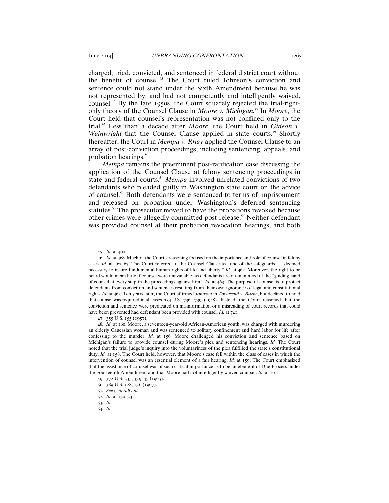charged, tried, convicted, and sentenced in federal district court without the benefit of counsel.<sup>45</sup> The Court ruled Johnson's conviction and sentence could not stand under the Sixth Amendment because he was not represented by, and had not competently and intelligently waived, counsel.<sup>46</sup> By the late 1950s, the Court squarely rejected the trial-rightonly theory of the Counsel Clause in *Moore v. Michigan.*<sup>47</sup> In *Moore*, the Court held that counsel's representation was not confined only to the trial.<sup>48</sup> Less than a decade after *Moore*, the Court held in *Gideon v. Wainwright* that the Counsel Clause applied in state courts.<sup>49</sup> Shortly thereafter, the Court in *Mempa v. Rhay* applied the Counsel Clause to an array of post-conviction proceedings, including sentencing, appeals, and probation hearings. $50$ 

*Mempa* remains the preeminent post-ratification case discussing the application of the Counsel Clause at felony sentencing proceedings in state and federal courts.<sup>51</sup> *Mempa* involved unrelated convictions of two defendants who pleaded guilty in Washington state court on the advice of counsel.<sup>52</sup> Both defendants were sentenced to terms of imprisonment and released on probation under Washington's deferred sentencing statutes.<sup>53</sup> The prosecutor moved to have the probations revoked because other crimes were allegedly committed post-release.<sup>54</sup> Neither defendant was provided counsel at their probation revocation hearings, and both

54*. Id.*

<sup>45</sup>*. Id*. at 460.

<sup>46</sup>*. Id.* at 468. Much of the Court's reasoning focused on the importance and role of counsel in felony cases. *Id.* at 462–67. The Court referred to the Counsel Clause as "one of the safeguards ... deemed necessary to insure fundamental human rights of life and liberty." *Id.* at 462. Moreover, the right to be heard would mean little if counsel were unavailable, as defendants are often in need of the "guiding hand of counsel at every step in the proceedings against him." *Id.* at 463. The purpose of counsel is to protect defendants from conviction and sentences resulting from their own ignorance of legal and constitutional rights. *Id.* at 465. Ten years later, the Court affirmed *Johnson* in *Townsend v. Burke*, but declined to hold that counsel was required in all cases. 334 U.S. 736, 739 (1948). Instead, the Court reasoned that the conviction and sentence were predicated on misinformation or a misreading of court records that could have been prevented had defendant been provided with counsel. *Id.* at 741.

<sup>47</sup>. 355 U.S. 155 (1957).

<sup>48</sup>*. Id.* at 160. Moore, a seventeen-year-old African-American youth, was charged with murdering an elderly Caucasian woman and was sentenced to solitary confinement and hard labor for life after confessing to the murder. *Id.* at 156. Moore challenged his conviction and sentence based on Michigan's failure to provide counsel during Moore's plea and sentencing hearings. *Id.* The Court noted that the trial judge's inquiry into the voluntariness of the plea fulfilled the state's constitutional duty. *Id.* at 158. The Court held, however, that Moore's case fell within the class of cases in which the intervention of counsel was an essential element of a fair hearing. *Id.* at 159. The Court emphasized that the assistance of counsel was of such critical importance as to be an element of Due Process under the Fourteenth Amendment and that Moore had not intelligently waived counsel. *Id.* at 161.

<sup>49</sup>. 372 U.S. 335, 339–45 (1963).

<sup>50</sup>. 389 U.S. 128, 136 (1967).

<sup>51</sup>*. See generally id.*

<sup>52</sup>*. Id.* at 130–33.

<sup>53</sup>*. Id.*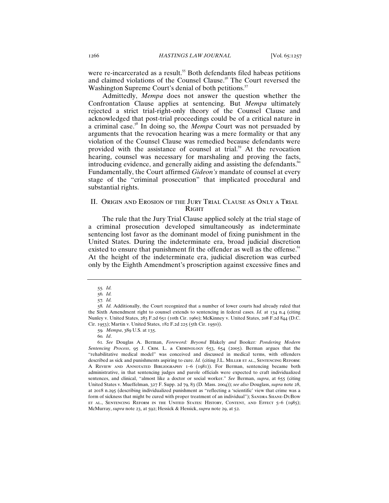were re-incarcerated as a result.<sup>55</sup> Both defendants filed habeas petitions and claimed violations of the Counsel Clause.<sup>56</sup> The Court reversed the Washington Supreme Court's denial of both petitions.<sup>57</sup>

Admittedly, *Mempa* does not answer the question whether the Confrontation Clause applies at sentencing. But *Mempa* ultimately rejected a strict trial-right-only theory of the Counsel Clause and acknowledged that post-trial proceedings could be of a critical nature in a criminal case.<sup>58</sup> In doing so, the *Mempa* Court was not persuaded by arguments that the revocation hearing was a mere formality or that any violation of the Counsel Clause was remedied because defendants were provided with the assistance of counsel at trial.<sup>59</sup> At the revocation hearing, counsel was necessary for marshaling and proving the facts, introducing evidence, and generally aiding and assisting the defendants.<sup>60</sup> Fundamentally, the Court affirmed *Gideon's* mandate of counsel at every stage of the "criminal prosecution" that implicated procedural and substantial rights.

#### II. Origin and Erosion of the Jury Trial Clause as Only a Trial **RIGHT**

The rule that the Jury Trial Clause applied solely at the trial stage of a criminal prosecution developed simultaneously as indeterminate sentencing lost favor as the dominant model of fixing punishment in the United States. During the indeterminate era, broad judicial discretion existed to ensure that punishment fit the offender as well as the offense.<sup>11</sup> At the height of the indeterminate era, judicial discretion was curbed only by the Eighth Amendment's proscription against excessive fines and

<sup>55</sup>*. Id.*

<sup>56</sup>*. Id.*

<sup>57</sup>*. Id.*

<sup>58</sup>*. Id.* Additionally, the Court recognized that a number of lower courts had already ruled that the Sixth Amendment right to counsel extends to sentencing in federal cases. *Id.* at 134 n.4 (citing Nunley v. United States, 283 F.2d 651 (10th Cir. 1960); McKinney v. United States, 208 F.2d 844 (D.C. Cir. 1953); Martin v. United States, 182 F.2d 225 (5th Cir. 1950)).

<sup>59</sup>*. Mempa*, 389 U.S. at 135.

<sup>60</sup>*. Id*.

<sup>61</sup>*. See* Douglas A. Berman, *Foreword: Beyond* Blakely *and* Booker*: Pondering Modern Sentencing Process*, 95 J. Crim. L. & Criminology 653, 654 (2005). Berman argues that the "rehabilitative medical model" was conceived and discussed in medical terms, with offenders described as sick and punishments aspiring to cure. *Id.* (citing J.L. MILLER ET AL., SENTENCING REFORM: A Review and Annotated Bibliography 1–6 (1981)). For Berman, sentencing became both administrative, in that sentencing judges and parole officials were expected to craft individualized sentences, and clinical, "almost like a doctor or social worker." *See* Berman, *supra*, at 655 (citing United States v. Mueffelman, 327 F. Supp. 2d 79, 83 (D. Mass. 2004)); *see also* Douglass, *supra* note 28, at 2018 n.295 (describing individualized punishment as "reflecting a 'scientific' view that crime was a form of sickness that might be cured with proper treatment of an individual"); SANDRA SHANE-DUBOW et al., Sentencing Reform in the United States: History, Content, and Effect 5–6 (1985); McMurray, *supra* note 23, at 592; Hessick & Hessick, *supra* note 29, at 52.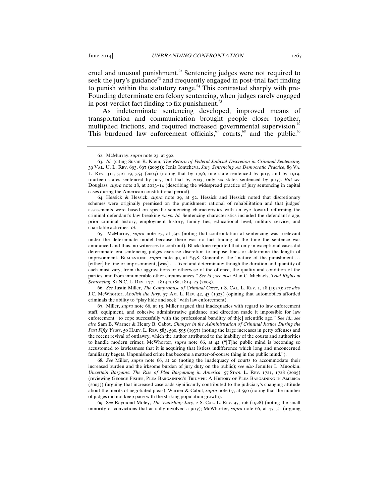cruel and unusual punishment.<sup>62</sup> Sentencing judges were not required to seek the jury's guidance $63$  and frequently engaged in post-trial fact finding to punish within the statutory range. $64$  This contrasted sharply with pre-Founding determinate era felony sentencing, when judges rarely engaged in post-verdict fact finding to fix punishment. $65$ 

As indeterminate sentencing developed, improved means of transportation and communication brought people closer together, multiplied frictions, and required increased governmental supervision. This burdened law enforcement officials,  $\sigma$  courts,<sup>68</sup> and the public.<sup>69</sup>

64. Hessick & Hessick, *supra* note 29, at 52. Hessick and Hessick noted that discretionary schemes were originally premised on the punishment rational of rehabilitation and that judges' assessments were based on specific sentencing characteristics with an eye toward reforming the criminal defendant's law breaking ways. *Id.* Sentencing characteristics included the defendant's age, prior criminal history, employment history, family ties, educational level, military service, and charitable activities. *Id.* 

65. McMurray, *supra* note 23, at 592 (noting that confrontation at sentencing was irrelevant under the determinate model because there was no fact finding at the time the sentence was announced and thus, no witnesses to confront). Blackstone reported that only in exceptional cases did determinate era sentencing judges exercise discretion to impose fines or determine the length of imprisonment. BLACKSTONE, *supra* note 30, at \*378. Generally, the "nature of the punishment ... [either] by fine or imprisonment, [was] . . . fixed and determinate: though the duration and quantity of each must vary, from the aggravations or otherwise of the offence, the quality and condition of the parties, and from innumerable other circumstances." *See id.*; *see also* Alan C. Michaels, *Trial Rights at Sentencing*, 81 N.C. L. Rev. 1771, 1814 n.180, 1814–25 (2003).

66. *See* Justin Miller, *The Compromise of Criminal Cases*, 1 S. Cal. L. Rev. 1, 18 (1927); *see also* J.C. McWhorter, *Abolish the Jury*, 57 Am. L. Rev. 42, 43 (1923) (opining that automobiles afforded criminals the ability to "play hide and seek" with law enforcement).

67. Miller, *supra* note 66, at 19. Miller argued that inadequacies with regard to law enforcement staff, equipment, and cohesive administrative guidance and direction made it impossible for law enforcement "to cope successfully with the professional banditry of th[e] scientific age." *See id.*; *see also* Sam B. Warner & Henry B. Cabot, *Changes in the Administration of Criminal Justice During the Past Fifty Years*, 50 HARV. L. REV. 583, 590, 595 (1937) (noting the large increases in petty offenses and the recent revival of outlawry, which the author attributed to the inability of the courts and authorities to handle modern crime); McWhorter, *supra* note 66, at 42 ("[T]he public mind is becoming so accustomed to lawlessness that it is acquiring that listless indifference which long and unconcerned familiarity begets. Unpunished crime has become a matter-of-course thing in the public mind.").

68*. See* Miller, *supra* note 66, at 20 (noting the inadequacy of courts to accommodate their increased burden and the irksome burden of jury duty on the public); *see also* Jennifer L. Mnookin, *Uncertain Bargains: The Rise of Plea Bargaining in America*, 57 Stan. L. Rev. 1721, 1728 (2005) (reviewing George Fisher, Plea Bargaining's Triumph: A History of Plea Bargaining in America (2003)) (arguing that increased caseloads significantly contributed to the judiciary's changing attitude about the merits of negotiated pleas); Warner & Cabot, *supra* note 67, at 590 (noting that the number of judges did not keep pace with the striking population growth).

69. S*ee* Raymond Moley, *The Vanishing Jury*, 2 S. Cal. L. Rev. 97, 106 (1928) (noting the small minority of convictions that actually involved a jury); McWhorter, *supra* note 66, at 47, 51 (arguing

<sup>62</sup>. McMurray, *supra* note 23, at 592.

<sup>63</sup>*. Id.* (citing Susan R. Klein, *The Return of Federal Judicial Discretion in Criminal Sentencing*, 39 Val. U. L. Rev. 693, 697 (2005)); Jenia Iontcheva, *Jury Sentencing As Democratic Practice*, 89 Va. L. Rev. 311, 316–19, 354 (2003) (noting that by 1796, one state sentenced by jury, and by 1919, fourteen states sentenced by jury, but that by 2003, only six states sentenced by jury). *But see*  Douglass, *supra* note 28, at 2013–14 (describing the widespread practice of jury sentencing in capital cases during the American constitutional period).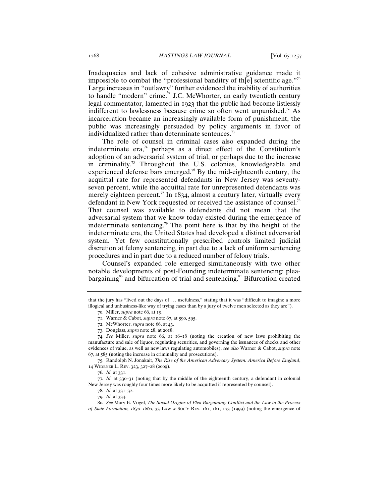Inadequacies and lack of cohesive administrative guidance made it impossible to combat the "professional banditry of th[e] scientific age."<sup>70</sup> Large increases in "outlawry" further evidenced the inability of authorities to handle "modern" crime. $^7$  J.C. McWhorter, an early twentieth century legal commentator, lamented in 1923 that the public had become listlessly indifferent to lawlessness because crime so often went unpunished.<sup>72</sup> As incarceration became an increasingly available form of punishment, the public was increasingly persuaded by policy arguments in favor of individualized rather than determinate sentences.<sup>73</sup>

The role of counsel in criminal cases also expanded during the indeterminate era, $74$  perhaps as a direct effect of the Constitution's adoption of an adversarial system of trial, or perhaps due to the increase in criminality.<sup>75</sup> Throughout the U.S. colonies, knowledgeable and experienced defense bars emerged.<sup>76</sup> By the mid-eighteenth century, the acquittal rate for represented defendants in New Jersey was seventyseven percent, while the acquittal rate for unrepresented defendants was merely eighteen percent.<sup>77</sup> In 1834, almost a century later, virtually every defendant in New York requested or received the assistance of counsel.<sup>78</sup> That counsel was available to defendants did not mean that the adversarial system that we know today existed during the emergence of indeterminate sentencing.<sup>79</sup> The point here is that by the height of the indeterminate era, the United States had developed a distinct adversarial system. Yet few constitutionally prescribed controls limited judicial discretion at felony sentencing, in part due to a lack of uniform sentencing procedures and in part due to a reduced number of felony trials.

Counsel's expanded role emerged simultaneously with two other notable developments of post-Founding indeterminate sentencing: pleabargaining $\delta$ <sup>80</sup> and bifurcation of trial and sentencing.<sup>81</sup> Bifurcation created

75. Randolph N. Jonakait, *The Rise of the American Adversary System: America Before England*, 14 Widener L. Rev. 323, 327–28 (2009).

77*. Id.* at 330–31 (noting that by the middle of the eighteenth century, a defendant in colonial New Jersey was roughly four times more likely to be acquitted if represented by counsel).

80*. See* Mary E. Vogel, *The Social Origins of Plea Bargaining: Conflict and the Law in the Process of State Formation, 1830–1860*, 33 Law & Soc'y Rev. 161, 161, 173 (1999) (noting the emergence of

that the jury has "lived out the days of . . . usefulness," stating that it was "difficult to imagine a more illogical and unbusiness-like way of trying cases than by a jury of twelve men selected as they are").

<sup>70</sup>. Miller, *supra* note 66, at 19.

<sup>71</sup>. Warner & Cabot, *supra* note 67, at 590, 595.

<sup>72</sup>. McWhorter, *supra* note 66, at 43.

<sup>73</sup>. Douglass, *supra* note 28, at 2018.

<sup>74</sup>. *See* Miller, *supra* note 66, at 16–18 (noting the creation of new laws prohibiting the manufacture and sale of liquor, regulating securities, and governing the issuances of checks and other evidences of value, as well as new laws regulating automobiles); *see also* Warner & Cabot, *supra* note 67, at 585 (noting the increase in criminality and prosecutions).

<sup>76</sup>*. Id.* at 331.

<sup>78</sup>*. Id.* at 331–32.

<sup>79</sup>*. Id.* at 334.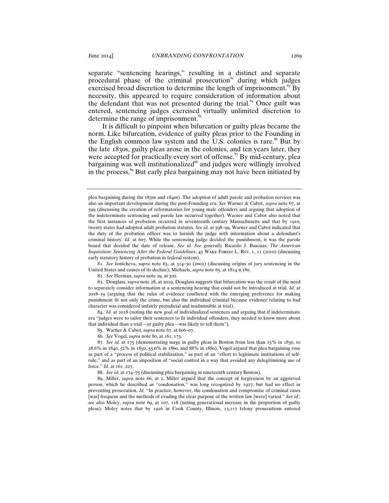separate "sentencing hearings," resulting in a distinct and separate procedural phase of the criminal prosecution<sup>82</sup> during which judges exercised broad discretion to determine the length of imprisonment.<sup>83</sup> By necessity, this appeared to require consideration of information about the defendant that was not presented during the trial.<sup>84</sup> Once guilt was entered, sentencing judges exercised virtually unlimited discretion to determine the range of imprisonment.<sup>85</sup>

It is difficult to pinpoint when bifurcation or guilty pleas became the norm. Like bifurcation, evidence of guilty pleas prior to the Founding in the English common law system and the U.S. colonies is rare.<sup>86</sup> But by the late 1830s, guilty pleas arose in the colonies, and ten years later, they were accepted for practically every sort of offense.<sup>87</sup> By mid-century, plea bargaining was well institutionalized<sup>88</sup> and judges were willingly involved in the process.<sup>89</sup> But early plea bargaining may not have been initiated by

81*. See* Iontcheva, *supra* note 63, at 314–30 (2003) (discussing origins of jury sentencing in the United States and causes of its decline); Michaels, *supra* note 65, at 1814 n.180.

82*. See* Herman, *supra* note 29, at 302.

83. Douglass, *supra* note 28, at 2019. Douglass suggests that bifurcation was the result of the need to separately consider information at a sentencing hearing that could not be introduced at trial. *Id.* at 2018–19 (arguing that the rules of evidence conflicted with the emerging preference for making punishment fit not only the crime, but also the individual criminal because evidence relating to bad character was considered unfairly prejudicial and inadmissible at trial).

84. *Id.* at 2018 (noting the new goal of individualized sentences and arguing that if indeterminate era "judges were to tailor their sentences to fit individual offenders, they needed to know more about that individual than a trial—or guilty plea—was likely to tell them").

85. Warner & Cabot, *supra* note 67, at 606–07.

86*. See* Vogel, *supra* note 80, at 161, 173.

87*. See id.* at 175 (demonstrating surge in guilty pleas in Boston from less than 15% in 1830, to 28.6% in 1840, 52% in 1850, 55.6% in 1860, and 88% in 1880). Vogel argued that plea bargaining rose as part of a "process of political stabilization," as part of an "effort to legitimate institutions of selfrule," and as part of an imposition of "social control in a way that avoided any delegitimizing use of force." *Id.* at 161, 227.

88*. See id.* at 174–75 (discussing plea bargaining in nineteenth century Boston).

89. Miller, *supra* note 66, at 2. Miller argued that the concept of forgiveness by an aggrieved person, which he described as "condonation," was long recognized by 1927, but had no effect in preventing prosecution. *Id.* "In practice, however, the condonation and compromise of criminal cases [was] frequent and the methods of evading the clear purpose of the written law [were] varied." *See id.*; *see also* Moley, *supra* note 69, at 107, 118 (noting generational increase in the proportion of guilty pleas). Moley notes that by 1926 in Cook County, Illinois, 13,117 felony prosecutions entered

plea bargaining during the 1830s and 1840s). The adoption of adult parole and probation services was also an important development during the post-Founding era. *See* Warner & Cabot, *supra* note 67, at 599 (discussing the creation of reformatories for young male offenders and arguing that adoption of the indeterminate sentencing and parole law occurred together). Warner and Cabot also noted that the first instances of probation occurred in seventeenth century Massachusetts and that by 1910, twenty states had adopted adult probation statutes. *See id.* at 598–99. Warner and Cabot indicated that the duty of the probation officer was to furnish the judge with information about a defendant's criminal history. *Id.* at 607. While the sentencing judge decided the punishment, it was the parole board that decided the date of release. *See id. See generally* Ricardo J. Bascuas, *The American Inquisition: Sentencing After the Federal Guidelines*, 45 Wake Forest L. Rev. 1, 11 (2010) (discussing early statutory history of probation in federal system).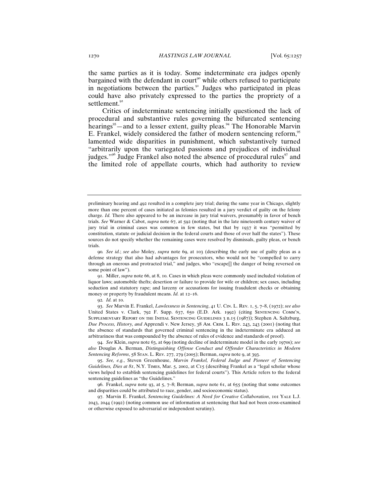the same parties as it is today. Some indeterminate era judges openly bargained with the defendant in court<sup>90</sup> while others refused to participate in negotiations between the parties.<sup>91</sup> Judges who participated in pleas could have also privately expressed to the parties the propriety of a settlement.<sup>92</sup>

Critics of indeterminate sentencing initially questioned the lack of procedural and substantive rules governing the bifurcated sentencing hearings<sup>93</sup>—and to a lesser extent, guilty pleas.<sup>94</sup> The Honorable Marvin E. Frankel, widely considered the father of modern sentencing reform,<sup>95</sup> lamented wide disparities in punishment, which substantively turned "arbitrarily upon the variegated passions and prejudices of individual judges."<sup>96</sup> Judge Frankel also noted the absence of procedural rules $\frac{97}{1}$  and the limited role of appellate courts, which had authority to review

91. Miller, *supra* note 66, at 8, 10. Cases in which pleas were commonly used included violation of liquor laws; automobile thefts; desertion or failure to provide for wife or children; sex cases, including seduction and statutory rape; and larceny or accusations for issuing fraudulent checks or obtaining money or property by fraudulent means. *Id.* at 12–16.

93. *See* Marvin E. Frankel, *Lawlessness in Sentencing*, 41 U. Cin. L. Rev. 1, 5, 7–8, (1972); *see also* United States v. Clark, 792 F. Supp. 637, 650 (E.D. Ark. 1992) (citing SENTENCING COMM'N, Supplementary Report on the Initial Sentencing Guidelines 3 n.15 (1987)); Stephen A. Saltzburg, *Due Process, History, and* Apprendi v. New Jersey, 38 Am. Crim. L. Rev. 243, 243 (2001) (noting that the absence of standards that governed criminal sentencing in the indeterminate era adduced an arbitrariness that was compounded by the absence of rules of evidence and standards of proof).

94. *See* Klein, *supra* note 63, at 699 (noting decline of indeterminate model in the early 1970s); *see also* Douglas A. Berman, *Distinguishing Offense Conduct and Offender Characteristics in Modern Sentencing Reforms*, 58 Stan. L. Rev. 277, 279 (2005); Berman, *supra* note 9, at 393.

95. *See, e.g.*, Steven Greenhouse, *Marvin Frankel, Federal Judge and Pioneer of Sentencing Guidelines, Dies at 81*, N.Y. Times, Mar. 5, 2002, at C15 (describing Frankel as a "legal scholar whose views helped to establish sentencing guidelines for federal courts"). This Article refers to the federal sentencing guidelines as "the Guidelines."

96. Frankel, *supra* note 93, at 5, 7–8; Berman, *supra* note 61, at 655 (noting that some outcomes and disparities could be attributed to race, gender, and socioeconomic status).

97. Marvin E. Frankel, *Sentencing Guidelines: A Need for Creative Collaboration*, 101 Yale L.J. 2043, 2044 (1992) (noting common use of information at sentencing that had not been cross-examined or otherwise exposed to adversarial or independent scrutiny).

preliminary hearing and 492 resulted in a complete jury trial; during the same year in Chicago, slightly more than one percent of cases initiated as felonies resulted in a jury verdict of guilty on the felony charge. *Id.* There also appeared to be an increase in jury trial waivers, presumably in favor of bench trials. *See* Warner & Cabot, *supra* note 67, at 592 (noting that in the late nineteenth century waiver of jury trial in criminal cases was common in few states, but that by 1937 it was "permitted by constitution, statute or judicial decision in the federal courts and those of over half the states"). These sources do not specify whether the remaining cases were resolved by dismissals, guilty pleas, or bench trials.

<sup>90</sup>*. See id.*; *see also* Moley, *supra* note 69, at 103 (describing the early use of guilty pleas as a defense strategy that also had advantages for prosecutors, who would not be "compelled to carry through an onerous and protracted trial," and judges, who "escape[] the danger of being reversed on some point of law").

<sup>92</sup>*. Id.* at 10.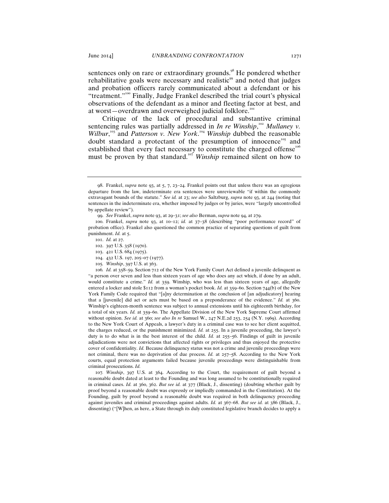sentences only on rare or extraordinary grounds.<sup>98</sup> He pondered whether rehabilitative goals were necessary and realistic<sup>99</sup> and noted that judges and probation officers rarely communicated about a defendant or his "treatment."<sup>100</sup> Finally, Judge Frankel described the trial court's physical observations of the defendant as a minor and fleeting factor at best, and at worst—overdrawn and overweighed judicial folklore.<sup>101</sup>

Critique of the lack of procedural and substantive criminal sentencing rules was partially addressed in *In re Winship*,<sup>102</sup> Mullaney v. Wilbur,<sup>103</sup> and *Patterson v. New York*.<sup>104</sup> Winship dubbed the reasonable doubt standard a protectant of the presumption of innocence<sup>105</sup> and established that every fact necessary to constitute the charged offense<sup>106</sup> must be proven by that standard.<sup>107</sup> *Winship* remained silent on how to

- 104. 432 U.S. 197, 205–07 (1977).
- 105*. Winship*, 397 U.S. at 363.

106*. Id.* at 358–59. Section 712 of the New York Family Court Act defined a juvenile delinquent as "a person over seven and less than sixteen years of age who does any act which, if done by an adult, would constitute a crime." *Id.* at 359. Winship, who was less than sixteen years of age, allegedly entered a locker and stole \$112 from a woman's pocket book. *Id.* at 359–60. Section 744(b) of the New York Family Code required that "[a]ny determination at the conclusion of [an adjudicatory] hearing that a [juvenile] did act or acts must be based on a preponderance of the evidence." *Id.* at 360. Winship's eighteen-month sentence was subject to annual extensions until his eighteenth birthday, for a total of six years. *Id.* at 359–60. The Appellate Division of the New York Supreme Court affirmed without opinion. *See id.* at 360; *see also In re* Samuel W., 247 N.E.2d 253, 254 (N.Y. 1969). According to the New York Court of Appeals, a lawyer's duty in a criminal case was to see her client acquitted, the charges reduced, or the punishment minimized. *Id.* at 255. In a juvenile proceeding, the lawyer's duty is to do what is in the best interest of the child. *Id.* at 255–56. Findings of guilt in juvenile adjudications were not convictions that affected rights or privileges and thus enjoyed the protective cover of confidentiality. *Id.* Because delinquency status was not a crime and juvenile proceedings were not criminal, there was no deprivation of due process. *Id.* at 257–58. According to the New York courts, equal protection arguments failed because juvenile proceedings were distinguishable from criminal prosecutions. *Id.*

107*. Winship*, 397 U.S. at 364. According to the Court, the requirement of guilt beyond a reasonable doubt dated at least to the Founding and was long assumed to be constitutionally required in criminal cases. *Id.* at 360, 362. *But see id.* at 377 (Black, J., dissenting) (doubting whether guilt by proof beyond a reasonable doubt was expressly or impliedly commanded in the Constitution). At the Founding, guilt by proof beyond a reasonable doubt was required in both delinquency proceeding against juveniles and criminal proceedings against adults. *Id.* at 367–68. *But see id.* at 386 (Black, J., dissenting) ("[W]hen, as here, a State through its duly constituted legislative branch decides to apply a

<sup>98</sup>. Frankel, *supra* note 93, at 5, 7, 23–24. Frankel points out that unless there was an egregious departure from the law, indeterminate era sentences were unreviewable "if within the commonly extravagant bounds of the statute." *See id.* at 23; *see also* Saltzburg, *supra* note 93, at 244 (noting that sentences in the indeterminate era, whether imposed by judges or by juries, were "largely uncontrolled by appellate review").

<sup>99</sup>. *See* Frankel, *supra* note 93, at 29–31; *see also* Berman, *supra* note 94, at 279.

<sup>100</sup>. Frankel, *supra* note 93, at 10–12; *id.* at 37–38 (describing "poor performance record" of probation office). Frankel also questioned the common practice of separating questions of guilt from punishment. *Id.* at 5.

<sup>101</sup>. *Id.* at 27.

<sup>102</sup>. 397 U.S. 358 (1970).

<sup>103</sup>. 421 U.S. 684 (1975).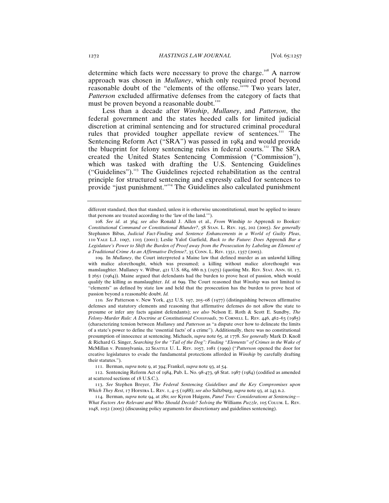determine which facts were necessary to prove the charge.<sup>108</sup> A narrow approach was chosen in *Mullaney*, which only required proof beyond reasonable doubt of the "elements of the offense."<sup>109</sup> Two years later, *Patterson* excluded affirmative defenses from the category of facts that must be proven beyond a reasonable doubt.<sup>110</sup>

Less than a decade after *Winship*, *Mullaney*, and *Patterson*, the federal government and the states heeded calls for limited judicial discretion at criminal sentencing and for structured criminal procedural rules that provided tougher appellate review of sentences.<sup>111</sup> The Sentencing Reform Act ("SRA") was passed in 1984 and would provide the blueprint for felony sentencing rules in federal courts.<sup>112</sup> The SRA created the United States Sentencing Commission ("Commission"), which was tasked with drafting the U.S. Sentencing Guidelines ("Guidelines"). $113$  The Guidelines rejected rehabilitation as the central principle for structured sentencing and expressly called for sentences to provide "just punishment."<sup>114</sup> The Guidelines also calculated punishment

109. In *Mullaney*, the Court interpreted a Maine law that defined murder as an unlawful killing with malice aforethought, which was presumed; a killing without malice aforethought was manslaughter. Mullaney v. Wilbur, 421 U.S. 684, 686 n.3 (1975) (quoting ME. REV. STAT. ANN. tit. 17, § 2651 (1964)). Maine argued that defendants had the burden to prove heat of passion, which would qualify the killing as manslaughter. *Id.* at 699. The Court reasoned that *Winship* was not limited to "elements" as defined by state law and held that the prosecution has the burden to prove heat of passion beyond a reasonable doubt. *Id.*

110*. See* Patterson v. New York, 432 U.S. 197, 205–08 (1977) (distinguishing between affirmative defenses and statutory elements and reasoning that affirmative defenses do not allow the state to presume or infer any facts against defendants); *see also* Nelson E. Roth & Scott E. Sundby, *The Felony-Murder Rule: A Doctrine at Constitutional Crossroads*, 70 Cornell L. Rev. 446, 462–63 (1985) (characterizing tension between *Mullaney* and *Patterson* as "a dispute over how to delineate the limits of a state's power to define the 'essential facts' of a crime"). Additionally, there was no constitutional presumption of innocence at sentencing. Michaels, *supra* note 65, at 1778. *See generally* Mark D. Knoll & Richard G. Singer, *Searching for the "Tail of the Dog": Finding "Elements" of Crimes in the Wake of*  McMillan v. Pennsylvania, 22 Seattle U. L. Rev. 1057, 1081 (1999) ("*Patterson* opened the door for creative legislatures to evade the fundamental protections afforded in *Winship* by carefully drafting their statutes.").

111. Berman, *supra* note 9, at 394; Frankel, *supra* note 93, at 54.

112. Sentencing Reform Act of 1984, Pub. L. No. 98-473, 98 Stat. 1987 (1984) (codified as amended at scattered sections of 18 U.S.C.).

113. *See* Stephen Breyer, *The Federal Sentencing Guidelines and the Key Compromises upon Which They Rest*, 17 Hofstra L. Rev. 1, 4–5 (1988); *see also* Saltzburg, *supra* note 93, at 243 n.2.

114. Berman, *supra* note 94, at 280; *see* Kyron Huigens, *Panel Two: Considerations at Sentencing— What Factors Are Relevant and Who Should Decide? Solving the* Williams *Puzzle*, 105 Colum. L. Rev. 1048, 1052 (2005) (discussing policy arguments for discretionary and guidelines sentencing).

different standard, then that standard, unless it is otherwise unconstitutional, must be applied to insure that persons are treated according to the 'law of the land.'").

<sup>108</sup>*. See id.* at 364; *see also* Ronald J. Allen et al., *From* Winship *to* Apprendi *to* Booker*: Constitutional Command or Constitutional Blunder?*, 58 Stan. L. Rev. 195, 202 (2005). *See generally* Stephanos Bibas, *Judicial Fact-Finding and Sentence Enhancements in a World of Guilty Pleas*, 110 Yale L.J. 1097, 1103 (2001); Leslie Yalof Garfield, *Back to the Future: Does* Apprendi *Bar a Legislature's Power to Shift the Burden of Proof away from the Prosecution by Labeling an Element of a Traditional Crime As an Affirmative Defense?*, 35 Conn. L. Rev. 1351, 1357 (2003).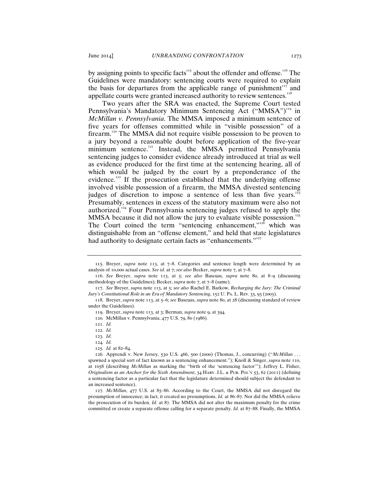by assigning points to specific facts<sup>115</sup> about the offender and offense.<sup>116</sup> The Guidelines were mandatory: sentencing courts were required to explain the basis for departures from the applicable range of punishment $117$  and appellate courts were granted increased authority to review sentences.<sup>118</sup>

Two years after the SRA was enacted, the Supreme Court tested Pennsylvania's Mandatory Minimum Sentencing Act ("MMSA")<sup>119</sup> in *McMillan v. Pennsylvania*. The MMSA imposed a minimum sentence of five years for offenses committed while in "visible possession" of a firearm.<sup>120</sup> The MMSA did not require visible possession to be proven to a jury beyond a reasonable doubt before application of the five-year minimum sentence.<sup>121</sup> Instead, the MMSA permitted Pennsylvania sentencing judges to consider evidence already introduced at trial as well as evidence produced for the first time at the sentencing hearing, all of which would be judged by the court by a preponderance of the evidence.<sup>122</sup> If the prosecution established that the underlying offense involved visible possession of a firearm, the MMSA divested sentencing judges of discretion to impose a sentence of less than five years.<sup>1</sup> Presumably, sentences in excess of the statutory maximum were also not authorized.<sup>124</sup> Four Pennsylvania sentencing judges refused to apply the MMSA because it did not allow the jury to evaluate visible possession.<sup>125</sup> The Court coined the term "sentencing enhancement," $126$  which was distinguishable from an "offense element," and held that state legislatures had authority to designate certain facts as "enhancements."<sup>127</sup>

117. *See* Breyer, *supra* note 113, at 5; *see also* Rachel E. Barkow, *Recharging the Jury: The Criminal Jury's Constitutional Role in an Era of Mandatory Sentencing*, 152 U. Pa. L. Rev. 33, 93 (2003).

<sup>115</sup>. Breyer, *supra* note 113, at 7–8. Categories and sentence length were determined by an analysis of 10,000 actual cases. *See id.* at 7; *see also* Becker, *supra* note 7, at 7–8.

<sup>116</sup>. *See* Breyer, *supra* note 113, at 5; *see also* Bascuas, *supra* note 80, at 8–9 (discussing methodology of the Guidelines); Becker, *supra* note 7, at 7–8 (same).

<sup>118</sup>. Breyer, *supra* note 113, at 5–6; *see* Bascuas, *supra* note 80, at 28 (discussing standard of review under the Guidelines).

<sup>119</sup>. Breyer, *supra* note 113, at 3; Berman, *supra* note 9, at 394.

<sup>120</sup>*.* McMillan v. Pennsylvania, 477 U.S. 79, 80 (1986)*.*

<sup>121</sup>. *Id.*

<sup>122</sup>*. Id.*

<sup>123</sup>*. Id.*

<sup>124</sup>*. Id.*

<sup>125</sup>*. Id.* at 82–84.

<sup>126</sup>*.* Apprendi v. New Jersey, 530 U.S. 466, 500 (2000) (Thomas, J., concurring) ("*McMillan* . . . spawned a special sort of fact known as a sentencing enhancement."); Knoll & Singer, *supra* note 110, at 1058 (describing *McMillan* as marking the "birth of the 'sentencing factor'"); Jeffrey L. Fisher, *Originalism as an Anchor for the Sixth Amendment*, 34 Harv. J.L. & Pub. Pol'y 53, 62 (2011) (defining a sentencing factor as a particular fact that the legislature determined should subject the defendant to an increased sentence).

<sup>127</sup>*. McMillan*, 477 U.S. at 85–86. According to the Court, the MMSA did not disregard the presumption of innocence; in fact, it created no presumptions. *Id.* at 86–87*.* Nor did the MMSA relieve the prosecution of its burden. *Id.* at 87. The MMSA did not alter the maximum penalty for the crime committed or create a separate offense calling for a separate penalty. *Id.* at 87–88*.* Finally, the MMSA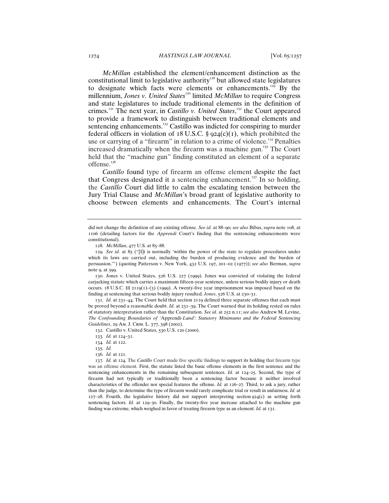*McMillan* established the element/enhancement distinction as the constitutional limit to legislative authority<sup>128</sup> but allowed state legislatures to designate which facts were elements or enhancements.<sup>129</sup> By the millennium, *Jones v. United States*<sup>130</sup> limited *McMillan* to require Congress and state legislatures to include traditional elements in the definition of crimes.<sup>131</sup> The next year, in *Castillo v. United States*,<sup>132</sup> the Court appeared to provide a framework to distinguish between traditional elements and sentencing enhancements.<sup>133</sup> Castillo was indicted for conspiring to murder federal officers in violation of 18 U.S.C.  $\S$  924(c)(1), which prohibited the use or carrying of a "firearm" in relation to a crime of violence.<sup>134</sup> Penalties increased dramatically when the firearm was a machine gun.<sup>135</sup> The Court held that the "machine gun" finding constituted an element of a separate offense.<sup>136</sup>

*Castillo* found type of firearm an offense element despite the fact that Congress designated it a sentencing enhancement.<sup>137</sup> In so holding, the *Castillo* Court did little to calm the escalating tension between the Jury Trial Clause and *McMillan*'s broad grant of legislative authority to choose between elements and enhancements. The Court's internal

130. Jones v. United States, 526 U.S. 227 (1999). Jones was convicted of violating the federal carjacking statute which carries a maximum fifteen-year sentence, unless serious bodily injury or death occurs. 18 U.S.C. §§ 2119(1)–(3) (1999). A twenty-five year imprisonment was imposed based on the finding at sentencing that serious bodily injury resulted. *Jones*, 526 U.S. at 230–31.

131*. Id.* at 231–44. The Court held that section 2119 defined three separate offenses that each must be proved beyond a reasonable doubt. *Id.* at 231–39. The Court warned that its holding rested on rules of statutory interpretation rather than the Constitution. *See id.* at 252 n.11; *see also* Andrew M. Levine, *The Confounding Boundaries of '*Apprendi*-Land': Statutory Minimums and the Federal Sentencing Guidelines*, 29 Am. J. Crim. L. 377, 398 (2002).

132. Castillo v. United States, 530 U.S. 120 (2000).

133*. Id.* at 124–31.

134*. Id.* at 122.

135*. Id.*

136*. Id.* at 121.

137*. Id.* at 124. The *Castillo* Court made five specific findings to support its holding that firearm type was an offense element. First, the statute listed the basic offense elements in the first sentence and the sentencing enhancements in the remaining subsequent sentences. *Id.* at 124–25. Second, the type of firearm had not typically or traditionally been a sentencing factor because it neither involved characteristics of the offender nor special features the offense. *Id.* at 126–27. Third, to ask a jury, rather than the judge, to determine the type of firearm would rarely complicate trial or result in unfairness. *Id.* at  $127-28$ . Fourth, the legislative history did not support interpreting section  $924(c)$  as setting forth sentencing factors. *Id.* at 129-30. Finally, the twenty-five year increase attached to the machine gun finding was extreme, which weighed in favor of treating firearm type as an element. *Id.* at 131.

did not change the definition of any existing offense. *See id.* at 88–90*; see also* Bibas, *supra* note 108, at 1106 (detailing factors for the *Apprendi* Court's finding that the sentencing enhancements were constitutional).

<sup>128</sup>*. McMillan*, 477 U.S. at 85–88*.*

<sup>129</sup>*. See id.* at 85 ("[I]t is normally 'within the power of the state to regulate procedures under which its laws are carried out, including the burden of producing evidence and the burden of persuasion.'") (quoting Patterson v. New York, 432 U.S. 197, 201–02 (1977)); *see also* Berman, *supra* note 9, at 399.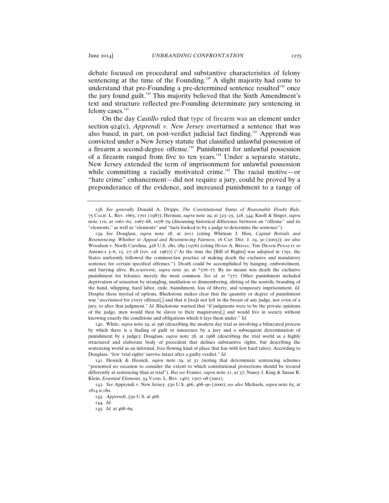debate focused on procedural and substantive characteristics of felony sentencing at the time of the Founding.<sup>138</sup> A slight majority had come to understand that pre-Founding a pre-determined sentence resulted<sup>139</sup> once the jury found guilt.<sup>140</sup> This majority believed that the Sixth Amendment's text and structure reflected pre-Founding determinate jury sentencing in felony cases.<sup>141</sup>

On the day *Castillo* ruled that type of firearm was an element under section 924(c), *Apprendi v. New Jersey* overturned a sentence that was also based, in part, on post-verdict judicial fact finding.<sup>142</sup> Apprendi was convicted under a New Jersey statute that classified unlawful possession of a firearm a second-degree offense.<sup>143</sup> Punishment for unlawful possession of a firearm ranged from five to ten years.<sup>144</sup> Under a separate statute, New Jersey extended the term of imprisonment for unlawful possession while committing a racially motivated crime.<sup>145</sup> The racial motive—or "hate crime" enhancement—did not require a jury, could be proved by a preponderance of the evidence, and increased punishment to a range of

140. White, *supra* note 29, at 396 (describing the modern day trial as involving a bifurcated process by which there is a finding of guilt or innocence by a jury and a subsequent determination of punishment by a judge); Douglass, *supra* note 28, at 1968 (describing the trial world as a highly structured and elaborate body of precedent that defines substantive rights, but describing the sentencing world as an informal, free-flowing kind of place that has with few hard rules). According to Douglass, "few 'trial rights' survive intact after a guilty verdict." *Id.*

141. Hessick & Hessick, *supra* note 29, at 51 (noting that determinate sentencing schemes "presented no occasion to consider the extent to which constitutional protections should be treated differently at sentencing than at trial"). *But see* Fenner, *supra* note 21, at 37; Nancy J. King & Susan R. Klein, *Essential Elements*, 54 VAND. L. REV. 1467, 1507-08 (2001).

142*. See* Apprendi v. New Jersey, 530 U.S. 466, 468–90 (2000); *see also* Michaels, *supra* note 65, at 1814 n.180.

<sup>138</sup>*. See generally* Donald A. Dripps, *The Constitutional Status of Reasonable Doubt Rule*, 75 Calif. L. Rev. 1665, 1701 (1987); Herman, *supra* note 29, at 323–25, 328, 344; Knoll & Singer, *supra* note 110, at 1061–62, 1067–68, 1078–79 (discussing historical difference between an "offense" and its "elements," as well as "elements" and "facts looked to by a judge to determine the sentence").

<sup>139</sup>. *See* Douglass, *supra* note 28, at 2011 (citing Whitnan J. Hou, *Capital Retrials and Resentencing: Whether to Appeal and Resentencing Fairness*, 16 Cap. Def. J. 19, 30 (2003)); *see also*  Woodson v. North Carolina, 428 U.S. 280, 289 (1976) (citing Hugo A. Bedau, The Death Penalty in America 5–6, 15, 27–28 (rev. ed. 1967)) ("At the time the [Bill of Rights] was adopted in 1791, the States uniformly followed the common-law practice of making death the exclusive and mandatory sentence for certain specified offenses."). Death could be accomplished by hanging, embowelment, and burying alive. Blackstone, *supra* note 30, at \*376–77. By no means was death the exclusive punishment for felonies, merely the most common. *See id.* at \*377. Other punishment included deprivation of sensation by strangling, mutilation or dismembering, slitting of the nostrils, branding of the hand, whipping, hard labor, exile, banishment, loss of liberty, and temporary imprisonment. *Id.*  Despite these myriad of options, Blackstone makes clear that the quantity or degree of punishment was "*ascertained* for every offence[,] and that it [wa]s not left in the breast of any judge, nor even of a jury, to alter that judgment." *Id.* Blackstone warned that "if judgments were to be the private opinions of the judge, men would then be slaves to their magistrates[,] and would live in society without knowing exactly the conditions and obligations which it lays them under." *Id.*

<sup>143</sup>*. Apprendi*, 530 U.S. at 468.

<sup>144</sup>*. Id.*

<sup>145</sup>*. Id.* at 468–69.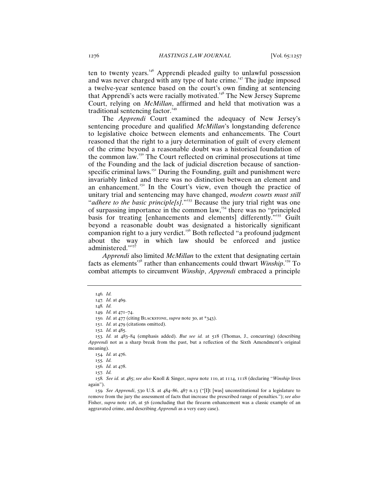ten to twenty years.<sup>146</sup> Apprendi pleaded guilty to unlawful possession and was never charged with any type of hate crime.<sup>147</sup> The judge imposed a twelve-year sentence based on the court's own finding at sentencing that Apprendi's acts were racially motivated.<sup>148</sup> The New Jersey Supreme Court, relying on *McMillan*, affirmed and held that motivation was a traditional sentencing factor.<sup>149</sup>

The *Apprendi* Court examined the adequacy of New Jersey's sentencing procedure and qualified *McMillan*'s longstanding deference to legislative choice between elements and enhancements. The Court reasoned that the right to a jury determination of guilt of every element of the crime beyond a reasonable doubt was a historical foundation of the common law.<sup>150</sup> The Court reflected on criminal prosecutions at time of the Founding and the lack of judicial discretion because of sanctionspecific criminal laws.<sup> $151$ </sup> During the Founding, guilt and punishment were invariably linked and there was no distinction between an element and an enhancement.<sup>152</sup> In the Court's view, even though the practice of unitary trial and sentencing may have changed, *modern courts must still*  "*adhere to the basic principle[s]*."<sup>153</sup> Because the jury trial right was one of surpassing importance in the common law,<sup> $154$ </sup> there was no "principled" basis for treating [enhancements and elements] differently.<sup>"155</sup> Guilt beyond a reasonable doubt was designated a historically significant companion right to a jury verdict.<sup>156</sup> Both reflected "a profound judgment about the way in which law should be enforced and justice administered."<sup>157</sup>

*Apprendi* also limited *McMillan* to the extent that designating certain facts as elements<sup>158</sup> rather than enhancements could thwart *Winship*.<sup>159</sup> To combat attempts to circumvent *Winship*, *Apprendi* embraced a principle

151*. Id.* at 479 (citations omitted).

153*. Id.* at 483–84 (emphasis added). *But see id.* at 518 (Thomas, J., concurring) (describing *Apprendi* not as a sharp break from the past, but a reflection of the Sixth Amendment's original meaning).

156*. Id.* at 478.

157*. Id.*

158*. See id.* at 485; *see also* Knoll & Singer, *supra* note 110, at 1114, 1118 (declaring "*Winship* lives again").

159*. See Apprendi*, 530 U.S. at 484–86, 487 n.13 ("[I]t [was] unconstitutional for a legislature to remove from the jury the assessment of facts that increase the prescribed range of penalties."); *see also* Fisher, *supra* note 126, at 56 (concluding that the firearm enhancement was a classic example of an aggravated crime, and describing *Apprendi* as a very easy case).

<sup>146</sup>*. Id.*

<sup>147</sup>*. Id.* at 469.

<sup>148</sup>*. Id.*

<sup>149</sup>*. Id.* at 471–74.

<sup>150</sup>*. Id.* at 477 (citing Blackstone, *supra* note 30, at \*343).

<sup>152</sup>*. Id.* at 485.

<sup>154</sup>*. Id.* at 476.

<sup>155</sup>*. Id.*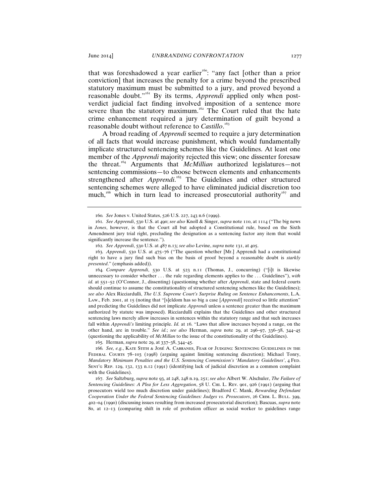that was foreshadowed a year earlier<sup>160</sup>: "any fact [other than a prior conviction] that increases the penalty for a crime beyond the prescribed statutory maximum must be submitted to a jury, and proved beyond a reasonable doubt."<sup>161</sup> By its terms, *Apprendi* applied only when postverdict judicial fact finding involved imposition of a sentence more severe than the statutory maximum.<sup>162</sup> The Court ruled that the hate crime enhancement required a jury determination of guilt beyond a reasonable doubt without reference to *Castillo*. 163

A broad reading of *Apprendi* seemed to require a jury determination of all facts that would increase punishment, which would fundamentally implicate structured sentencing schemes like the Guidelines. At least one member of the *Apprendi* majority rejected this view; one dissenter foresaw the threat.<sup>164</sup> Arguments that *McMillian* authorized legislatures—not sentencing commissions—to choose between elements and enhancements strengthened after *Apprendi*.<sup>165</sup> The Guidelines and other structured sentencing schemes were alleged to have eliminated judicial discretion too much,<sup>166</sup> which in turn lead to increased prosecutorial authority<sup>167</sup> and

164*. Compare Apprendi*, 530 U.S. at 523 n.11 (Thomas, J., concurring) ("[i]t is likewise unnecessary to consider whether . . . the rule regarding elements applies to the . . . Guidelines"), *with id.* at 551–52 (O'Connor, J., dissenting) (questioning whether after *Apprendi*, state and federal courts should continue to assume the constitutionality of structured sentencing schemes like the Guidelines); *see also* Alex Ricciardulli, *The U.S. Supreme Court's Surprise Ruling on Sentence Enhancements*, L.A. Law., Feb. 2001, at 15 (noting that "[s]eldom has so big a case [*Apprendi*] received so little attention" and predicting the Guidelines did not implicate *Apprendi* unless a sentence greater than the maximum authorized by statute was imposed). Ricciardulli explains that the Guidelines and other structured sentencing laws merely allow increases in sentences within the statutory range and that such increases fall within *Apprendi's* limiting principle. *Id.* at 16. "Laws that allow increases beyond a range, on the other hand, are in trouble." *See id.*; *see also* Herman, *supra* note 29, at 296–97, 336–38, 344–45 (questioning the applicability of *McMillan* to the issue of the constitutionality of the Guidelines).

165*.* Herman, *supra* note 29, at 337–38, 344–45.

166*. See, e.g.*, Kate Stith & José A. Cabranes, Fear of Judging: Sentencing Guidelines in the Federal Courts 78–103 (1998) (arguing against limiting sentencing discretion); Michael Tonry, *Mandatory Minimum Penalties and the U.S. Sentencing Commission's 'Mandatory Guidelines'*, 4 Fed. Sent'g Rep. 129, 132, 133 n.12 (1991) (identifying lack of judicial discretion as a common complaint with the Guidelines).

167. *See* Saltzburg, *supra* note 93, at 248, 248 n.19, 251; *see also* Albert W. Alschuler, *The Failure of Sentencing Guidelines: A Plea for Less Aggregation*, 58 U. Chi. L. Rev. 901, 926 (1991) (arguing that prosecutors wield too much discretion under guidelines); Bradford C. Mank, *Rewarding Defendant Cooperation Under the Federal Sentencing Guidelines: Judges vs. Prosecutors*, 26 Crim. L. Bull. 399, 402–04 (1990) (discussing issues resulting from increased prosecutorial discretion); Bascuas, *supra* note 80, at 12–13 (comparing shift in role of probation officer as social worker to guidelines range

<sup>160</sup>*. See* Jones v. United States, 526 U.S. 227, 243 n.6 (1999).

<sup>161</sup>*. See Apprendi*, 530 U.S. at 490; *see also* Knoll & Singer, *supra* note 110, at 1114 ("The big news in *Jones*, however, is that the Court all but adopted a Constitutional rule, based on the Sixth Amendment jury trial right, precluding the designation as a sentencing factor any item that would significantly increase the sentence.").

<sup>162</sup>*. See Apprendi*, 530 U.S. at 487 n.13; *see also* Levine, *supra* note 131, at 405.

<sup>163</sup>*. Apprendi*, 530 U.S. at 475–76 ("The question whether [Mr.] Apprendi had a constitutional right to have a jury find such bias on the basis of proof beyond a reasonable doubt is *starkly presented*." (emphasis added)).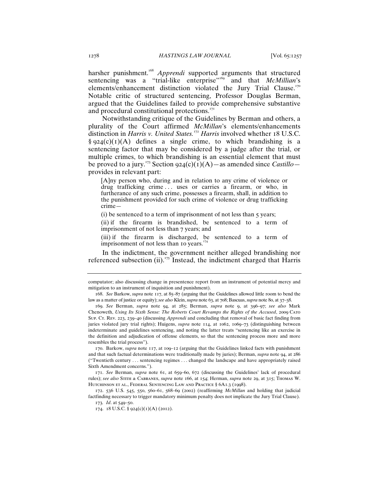harsher punishment.<sup>168</sup> *Apprendi* supported arguments that structured sentencing was a "trial-like enterprise"<sup>169</sup> and that *McMillian's* elements/enhancement distinction violated the Jury Trial Clause.<sup>170</sup> Notable critic of structured sentencing, Professor Douglas Berman, argued that the Guidelines failed to provide comprehensive substantive and procedural constitutional protections.<sup>171</sup>

Notwithstanding critique of the Guidelines by Berman and others, a plurality of the Court affirmed *McMillan*'s elements/enhancements distinction in *Harris v. United States.*<sup>172</sup> *Harris* involved whether 18 U.S.C.  $§$  924(c)(1)(A) defines a single crime, to which brandishing is a sentencing factor that may be considered by a judge after the trial, or multiple crimes, to which brandishing is an essential element that must be proved to a jury.<sup>173</sup> Section 924(c)( $\tilde{I}$ )(A)—as amended since *Castillo* provides in relevant part:

[A]ny person who, during and in relation to any crime of violence or drug trafficking crime ... uses or carries a firearm, or who, in furtherance of any such crime, possesses a firearm, shall, in addition to the punishment provided for such crime of violence or drug trafficking crime—

 $(i)$  be sentenced to a term of imprisonment of not less than  $\zeta$  years;

(ii) if the firearm is brandished, be sentenced to a term of imprisonment of not less than 7 years; and

(iii) if the firearm is discharged, be sentenced to a term of imprisonment of not less than 10 years.<sup>174</sup>

In the indictment, the government neither alleged brandishing nor referenced subsection (ii).<sup>175</sup> Instead, the indictment charged that Harris

computator; also discussing change in presentence report from an instrument of potential mercy and mitigation to an instrument of inquisition and punishment).

<sup>168</sup>. *See* Barkow, *supra* note 117, at 85–87 (arguing that the Guidelines allowed little room to bend the law as a matter of justice or equity); *see also* Klein, *supra* note 63, at 708; Bascuas, *supra* note 80, at 37–38.

<sup>169</sup>. *See* Berman, *supra* note 94, at 285; Berman, *supra* note 9, at 396–97; *see also* Mark Chenoweth, *Using Its Sixth Sense: The Roberts Court Revamps the Rights of the Accused*, 2009 Cato Sup. Ct. Rev. 223, 239–40 (discussing *Apprendi* and concluding that removal of basic fact finding from juries violated jury trial rights); Huigens, *supra* note 114, at 1062, 1069–73 (distinguishing between indeterminate and guidelines sentencing, and noting the latter treats "sentencing like an exercise in the definition and adjudication of offense elements, so that the sentencing process more and more resembles the trial process").

<sup>170</sup>. Barkow, *supra* note 117, at 109–12 (arguing that the Guidelines linked facts with punishment and that such factual determinations were traditionally made by juries); Berman, *supra* note 94, at 286 ("Twentieth century . . . sentencing regimes . . . changed the landscape and have appropriately raised Sixth Amendment concerns.").

<sup>171</sup>. *See* Berman, *supra* note 61, at 659–60, 672 (discussing the Guidelines' lack of procedural rules); *see also* Stith & Cabranes, *supra* note 166, at 154; Herman, *supra* note 29, at 315; Thomas W. HUTCHINSON ET AL., FEDERAL SENTENCING LAW AND PRACTICE § 6A1.3 (1998).

<sup>172</sup>. 536 U.S. 545, 550, 560–61, 568–69 (2002) (reaffirming *McMillan* and holding that judicial factfinding necessary to trigger mandatory minimum penalty does not implicate the Jury Trial Clause). 173*. Id*. at 549–50.

<sup>174</sup>. 18 U.S.C. § 924(c)(1)(A) (2012).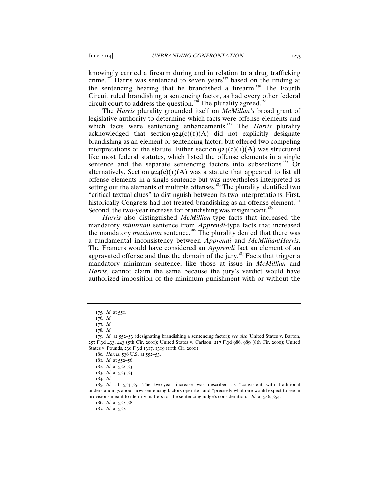knowingly carried a firearm during and in relation to a drug trafficking crime.<sup>176</sup> Harris was sentenced to seven years<sup>177</sup> based on the finding at the sentencing hearing that he brandished a firearm.<sup>178</sup> The Fourth Circuit ruled brandishing a sentencing factor, as had every other federal circuit court to address the question.<sup>179</sup> The plurality agreed.<sup>180</sup>

The *Harris* plurality grounded itself on *McMillan's* broad grant of legislative authority to determine which facts were offense elements and which facts were sentencing enhancements.<sup>181</sup> The *Harris* plurality acknowledged that section  $924(c)(1)(A)$  did not explicitly designate brandishing as an element or sentencing factor, but offered two competing interpretations of the statute. Either section  $924(c)(1)(A)$  was structured like most federal statutes, which listed the offense elements in a single sentence and the separate sentencing factors into subsections.<sup>182</sup> Or alternatively, Section  $924(c)(1)(A)$  was a statute that appeared to list all offense elements in a single sentence but was nevertheless interpreted as setting out the elements of multiple offenses.<sup>183</sup> The plurality identified two "critical textual clues" to distinguish between its two interpretations. First, historically Congress had not treated brandishing as an offense element.<sup>184</sup> Second, the two-year increase for brandishing was insignificant.<sup>185</sup>

*Harris* also distinguished *McMillian*-type facts that increased the mandatory *minimum* sentence from *Apprendi*-type facts that increased the mandatory *maximum* sentence.<sup>186</sup> The plurality denied that there was a fundamental inconsistency between *Apprendi* and *McMillian*/*Harris*. The Framers would have considered an *Apprendi* fact an element of an aggravated offense and thus the domain of the jury.<sup>187</sup> Facts that trigger a mandatory minimum sentence, like those at issue in *McMillian* and *Harris*, cannot claim the same because the jury's verdict would have authorized imposition of the minimum punishment with or without the

<sup>175</sup>*. Id.* at 551.

<sup>176</sup>*. Id.*

<sup>177</sup>*. Id.*

<sup>178</sup>*. Id.*

<sup>179</sup>*. Id.* at 552–53 (designating brandishing a sentencing factor); *see also* United States v. Barton, 257 F.3d 433, 443 (5th Cir. 2001); United States v. Carlson, 217 F.3d 986, 989 (8th Cir. 2000); United States v. Pounds, 230 F.3d 1317, 1319 (11th Cir. 2000).

<sup>180</sup>*. Harris*, 536 U.S. at 552–53.

<sup>181</sup>*. Id.* at 552–56.

<sup>182</sup>*. Id.* at 552–53.

<sup>183</sup>*. Id.* at 553–54. 184*. Id.*

<sup>185</sup>*. Id.* at 554–55. The two-year increase was described as "consistent with traditional understandings about how sentencing factors operate" and "precisely what one would expect to see in provisions meant to identify matters for the sentencing judge's consideration." *Id.* at 546, 554.

<sup>186</sup>*. Id.* at 557–58.

<sup>187</sup>*. Id.* at 557.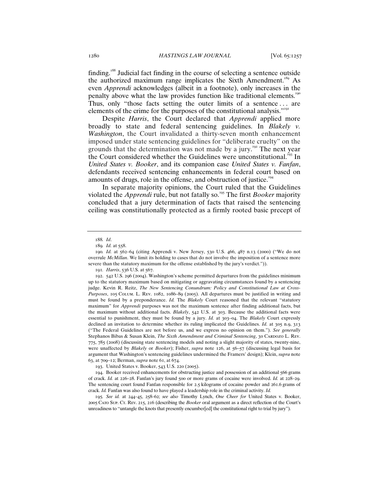finding.<sup>188</sup> Judicial fact finding in the course of selecting a sentence outside the authorized maximum range implicates the Sixth Amendment.<sup>189</sup> As even *Apprendi* acknowledges (albeit in a footnote), only increases in the penalty above what the law provides function like traditional elements.<sup>190</sup> Thus, only "those facts setting the outer limits of a sentence . . . are elements of the crime for the purposes of the constitutional analysis."<sup>191</sup>

Despite *Harris*, the Court declared that *Apprendi* applied more broadly to state and federal sentencing guidelines. In *Blakely v. Washington*, the Court invalidated a thirty-seven month enhancement imposed under state sentencing guidelines for "deliberate cruelty" on the grounds that the determination was not made by a jury.<sup>192</sup> The next year the Court considered whether the Guidelines were unconstitutional.<sup>193</sup> In *United States v. Booker*, and its companion case *United States v. Fanfan*, defendants received sentencing enhancements in federal court based on amounts of drugs, role in the offense, and obstruction of justice.<sup>194</sup>

In separate majority opinions, the Court ruled that the Guidelines violated the *Apprendi* rule, but not fatally so.<sup>195</sup> The first *Booker* majority concluded that a jury determination of facts that raised the sentencing ceiling was constitutionally protected as a firmly rooted basic precept of

193. United States v. Booker, 543 U.S. 220 (2005).

194. Booker received enhancements for obstructing justice and possession of an additional 566 grams of crack. *Id.* at 226–28. Fanfan's jury found 500 or more grams of cocaine were involved. *Id.* at 228–29. The sentencing court found Fanfan responsible for 2.5 kilograms of cocaine powder and 261.6 grams of crack. *Id.* Fanfan was also found to have played a leadership role in the criminal activity. *Id.*

195*. See id.* at 244–45, 258–62; *see also* Timothy Lynch, *One Cheer for* United States v. Booker, 2005 Cato Sup. Ct. Rev. 215, 216 (describing the *Booker* oral argument as a direct reflection of the Court's unreadiness to "untangle the knots that presently encumber[ed] the constitutional right to trial by jury").

<sup>188</sup>*. Id*.

<sup>189</sup>*. Id.* at 558.

<sup>190</sup>*. Id.* at 562–64 (citing Apprendi v. New Jersey, 530 U.S. 466, 487 n.13 (2000) ("We do not overrule *McMillan*. We limit its holding to cases that do not involve the imposition of a sentence more severe than the statutory maximum for the offense established by the jury's verdict.")).

<sup>191</sup>*. Harris*, 536 U.S. at 567.

<sup>192</sup>. 542 U.S. 296 (2004). Washington's scheme permitted departures from the guidelines minimum up to the statutory maximum based on mitigating or aggravating circumstances found by a sentencing judge. Kevin R. Reitz, *The New Sentencing Conundrum: Policy and Constitutional Law at Cross-Purposes*, 105 Colum. L. Rev. 1082, 1086–89 (2005). All departures must be justified in writing and must be found by a preponderance. *Id.* The *Blakely* Court reasoned that the relevant "statutory maximum" for *Apprendi* purposes was not the maximum sentence after finding additional facts, but the maximum without additional facts. *Blakely*, 542 U.S. at 303. Because the additional facts were essential to punishment, they must be found by a jury. *Id.* at 303–04. The *Blakely* Court expressly declined an invitation to determine whether its ruling implicated the Guidelines. *Id.* at 305 n.9, 313 ("The Federal Guidelines are not before us, and we express no opinion on them."). *See generally*  Stephanos Bibas & Susan Klein, *The Sixth Amendment and Criminal Sentencing*, 30 CARDOZO L. REV. 775, 785 (2008) (discussing state sentencing models and noting a slight majority of states, twenty-nine, were unaffected by *Blakely* or *Booker*); Fisher, *supra* note 126, at 56–57 (discussing legal basis for argument that Washington's sentencing guidelines undermined the Framers' design); Klein, *supra* note 63, at 709–12; Berman, *supra* note 61, at 674.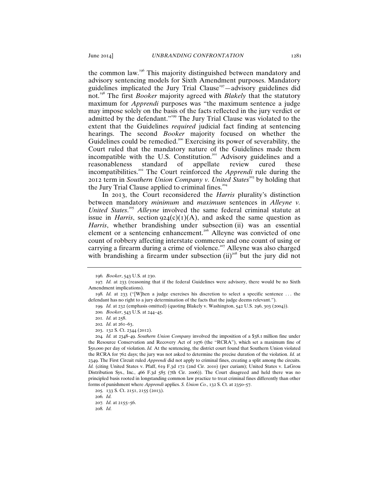the common law.<sup>196</sup> This majority distinguished between mandatory and advisory sentencing models for Sixth Amendment purposes. Mandatory guidelines implicated the Jury Trial Clause<sup>197</sup> $-$ advisory guidelines did not.<sup>198</sup> The first *Booker* majority agreed with *Blakely* that the statutory maximum for *Apprendi* purposes was "the maximum sentence a judge may impose solely on the basis of the facts reflected in the jury verdict or admitted by the defendant."<sup>199</sup> The Jury Trial Clause was violated to the extent that the Guidelines *required* judicial fact finding at sentencing hearings. The second *Booker* majority focused on whether the Guidelines could be remedied.<sup>200</sup> Exercising its power of severability, the Court ruled that the mandatory nature of the Guidelines made them incompatible with the U.S. Constitution.<sup>201</sup> Advisory guidelines and a reasonableness standard of appellate review cured these incompatibilities.<sup>202</sup> The Court reinforced the *Apprendi* rule during the 2012 term in *Southern Union Company v. United States*<sup>203</sup> by holding that the Jury Trial Clause applied to criminal fines. $2<sup>2</sup>$ 

In 2013, the Court reconsidered the *Harris* plurality's distinction between mandatory *minimum* and *maximum* sentences in *Alleyne v.*  United States.<sup>205</sup> Alleyne involved the same federal criminal statute at issue in *Harris*, section  $924(c)(1)(A)$ , and asked the same question as *Harris*, whether brandishing under subsection (ii) was an essential element or a sentencing enhancement.<sup>206</sup> Alleyne was convicted of one count of robbery affecting interstate commerce and one count of using or carrying a firearm during a crime of violence.<sup>207</sup> Alleyne was also charged with brandishing a firearm under subsection  $(ii)$ <sup>208</sup> but the jury did not

204*. Id.* at 2348–49. *Southern Union Company* involved the imposition of a \$38.1 million fine under the Resource Conservation and Recovery Act of 1976 (the "RCRA"), which set a maximum fine of \$50,000 per day of violation. *Id.* At the sentencing, the district court found that Southern Union violated the RCRA for 762 days; the jury was not asked to determine the precise duration of the violation. *Id.* at 2349. The First Circuit ruled *Apprendi* did not apply to criminal fines, creating a split among the circuits. *Id.* (citing United States v. Pfaff, 619 F.3d 172 (2nd Cir. 2010) (per curiam); United States v. LaGrou Distribution Sys., Inc*.*, 466 F.3d 585 (7th Cir. 2006)). The Court disagreed and held there was no principled basis rooted in longstanding common law practice to treat criminal fines differently than other forms of punishment where *Apprendi* applies. *S. Union Co.*, 132 S. Ct. at 2350–57.

208*. Id.*

<sup>196</sup>*. Booker*, 543 U.S. at 230.

<sup>197</sup>*. Id.* at 233 (reasoning that if the federal Guidelines were advisory, there would be no Sixth Amendment implications).

<sup>198</sup>*. Id.* at 233 ("[W]hen a judge exercises his discretion to select a specific sentence . . . the defendant has no right to a jury determination of the facts that the judge deems relevant.").

<sup>199</sup>*. Id.* at 232 (emphasis omitted) (quoting Blakely v. Washington, 542 U.S. 296, 303 (2004)).

<sup>200</sup>*. Booker*, 543 U.S. at 244–45.

<sup>201</sup>*. Id.* at 258.

<sup>202</sup>*. Id.* at 261–63.

<sup>203</sup>. 132 S. Ct. 2344 (2012).

<sup>205</sup>*.* 133 S. Ct. 2151, 2155 (2013).

<sup>206</sup>*. Id.*

<sup>207</sup>*. Id.* at 2155–56.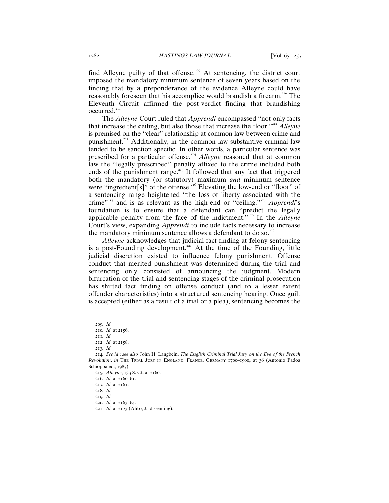find Alleyne guilty of that offense.<sup>209</sup> At sentencing, the district court imposed the mandatory minimum sentence of seven years based on the finding that by a preponderance of the evidence Alleyne could have reasonably foreseen that his accomplice would brandish a firearm.<sup>210</sup> The Eleventh Circuit affirmed the post-verdict finding that brandishing occurred.<sup>211</sup>

The *Alleyne* Court ruled that *Apprendi* encompassed "not only facts that increase the ceiling, but also those that increase the floor."<sup>212</sup> *Alleyne* is premised on the "clear" relationship at common law between crime and punishment.<sup>213</sup> Additionally, in the common law substantive criminal law tended to be sanction specific. In other words, a particular sentence was prescribed for a particular offense.<sup>214</sup> Alleyne reasoned that at common law the "legally prescribed" penalty affixed to the crime included both ends of the punishment range.<sup>215</sup> It followed that any fact that triggered both the mandatory (or statutory) maximum *and* minimum sentence were "ingredient[s]" of the offense.<sup>216</sup> Elevating the low-end or "floor" of a sentencing range heightened "the loss of liberty associated with the crime"<sup>217</sup> and is as relevant as the high-end or "ceiling."<sup>218</sup> *Apprendi*'s foundation is to ensure that a defendant can "predict the legally applicable penalty from the face of the indictment."<sup>219</sup> In the *Alleyne* Court's view, expanding *Apprendi* to include facts necessary to increase the mandatory minimum sentence allows a defendant to do so. $22$ 

*Alleyne* acknowledges that judicial fact finding at felony sentencing is a post-Founding development.<sup>221</sup> At the time of the Founding, little judicial discretion existed to influence felony punishment. Offense conduct that merited punishment was determined during the trial and sentencing only consisted of announcing the judgment. Modern bifurcation of the trial and sentencing stages of the criminal prosecution has shifted fact finding on offense conduct (and to a lesser extent offender characteristics) into a structured sentencing hearing. Once guilt is accepted (either as a result of a trial or a plea), sentencing becomes the

<sup>209</sup>*. Id.*

<sup>210</sup>*. Id.* at 2156.

<sup>211</sup>*. Id.* 212. *Id.* at 2158.

<sup>213</sup>*. Id.*

<sup>214</sup>*. See id*.; *see also* John H. Langbein, *The English Criminal Trial Jury on the Eve of the French Revolution*, *in* The Trial Jury in England, France, Germany 1700–1900, at 36 (Antonio Padoa Schioppa ed., 1987).

<sup>215</sup>*. Alleyne*, 133 S. Ct. at 2160.

<sup>216</sup>*. Id.* at 2160–61.

<sup>217</sup>*. Id.* at 2161.

<sup>218</sup>*. Id.*

<sup>219</sup>*. Id.*

<sup>220</sup>*. Id.* at 2163–64.

<sup>221</sup>. *Id.* at 2173 (Alito, J., dissenting).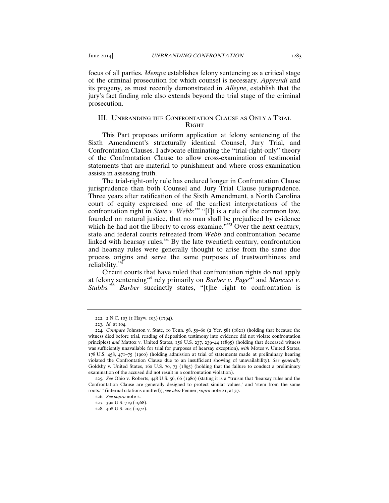focus of all parties. *Mempa* establishes felony sentencing as a critical stage of the criminal prosecution for which counsel is necessary. *Apprendi* and its progeny, as most recently demonstrated in *Alleyne*, establish that the jury's fact finding role also extends beyond the trial stage of the criminal prosecution.

#### III. Unbranding the Confrontation Clause as Only a Trial **RIGHT**

This Part proposes uniform application at felony sentencing of the Sixth Amendment's structurally identical Counsel, Jury Trial, and Confrontation Clauses. I advocate eliminating the "trial-right-only" theory of the Confrontation Clause to allow cross-examination of testimonial statements that are material to punishment and where cross-examination assists in assessing truth.

The trial-right-only rule has endured longer in Confrontation Clause jurisprudence than both Counsel and Jury Trial Clause jurisprudence. Three years after ratification of the Sixth Amendment, a North Carolina court of equity expressed one of the earliest interpretations of the confrontation right in *State v. Webb*:<sup>222</sup> "[I]t is a rule of the common law, founded on natural justice, that no man shall be prejudiced by evidence which he had not the liberty to cross examine."<sup>223</sup> Over the next century, state and federal courts retreated from *Webb* and confrontation became linked with hearsay rules.<sup>224</sup> By the late twentieth century, confrontation and hearsay rules were generally thought to arise from the same due process origins and serve the same purposes of trustworthiness and reliability.<sup>225</sup>

Circuit courts that have ruled that confrontation rights do not apply at felony sentencing<sup>226</sup> rely primarily on *Barber v. Page*<sup>227</sup> and *Mancusi v. Stubbs.*<sup>228</sup> *Barber* succinctly states, "[t]he right to confrontation is

<sup>222</sup>. 2 N.C. 103 (1 Hayw. 103) (1794).

<sup>223</sup>*. Id.* at 104.

<sup>224</sup>*. Compare* Johnston v. State, 10 Tenn. 58, 59–60 (2 Yer. 58) (1821) (holding that because the witness died before trial, reading of deposition testimony into evidence did not violate confrontation principles) *and* Mattox v. United States, 156 U.S. 237, 239–44 (1895) (holding that deceased witness was sufficiently unavailable for trial for purposes of hearsay exception), *with* Motes v. United States, 178 U.S. 458, 471–75 (1900) (holding admission at trial of statements made at preliminary hearing violated the Confrontation Clause due to an insufficient showing of unavailability). *See generally* Goldsby v. United States, 160 U.S. 70, 73 (1895) (holding that the failure to conduct a preliminary examination of the accused did not result in a confrontation violation).

<sup>225</sup>*. See* Ohio v. Roberts, 448 U.S. 56, 66 (1980) (stating it is a "truism that 'hearsay rules and the Confrontation Clause are generally designed to protect similar values,' and 'stem from the same roots.'" (internal citations omitted)); *see also* Fenner, *supra* note 21, at 37.

<sup>226</sup>. *See* s*upra* note 2.

<sup>227</sup>. 390 U.S. 719 (1968).

<sup>228</sup>. 408 U.S. 204 (1972).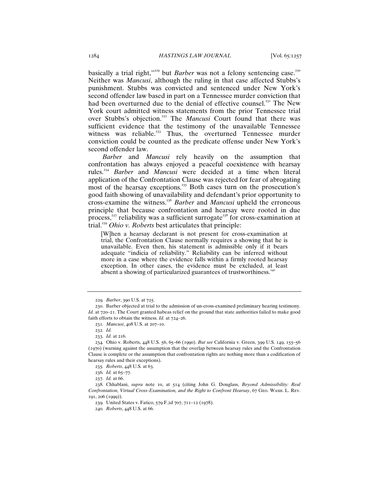basically a trial right,"<sup>229</sup> but *Barber* was not a felony sentencing case.<sup>230</sup> Neither was *Mancusi*, although the ruling in that case affected Stubbs's punishment. Stubbs was convicted and sentenced under New York's second offender law based in part on a Tennessee murder conviction that had been overturned due to the denial of effective counsel.<sup>231</sup> The New York court admitted witness statements from the prior Tennessee trial over Stubbs's objection.<sup>232</sup> The *Mancusi* Court found that there was sufficient evidence that the testimony of the unavailable Tennessee witness was reliable.<sup>233</sup> Thus, the overturned Tennessee murder conviction could be counted as the predicate offense under New York's second offender law.

*Barber* and *Mancusi* rely heavily on the assumption that confrontation has always enjoyed a peaceful coexistence with hearsay rules.<sup>234</sup> *Barber* and *Mancusi* were decided at a time when literal application of the Confrontation Clause was rejected for fear of abrogating most of the hearsay exceptions.<sup>235</sup> Both cases turn on the prosecution's good faith showing of unavailability and defendant's prior opportunity to cross-examine the witness.<sup>236</sup> *Barber* and *Mancusi* upheld the erroneous principle that because confrontation and hearsay were rooted in due process,<sup>237</sup> reliability was a sufficient surrogate<sup>238</sup> for cross-examination at trial.<sup>239</sup> *Ohio v. Roberts* best articulates that principle:

[W]hen a hearsay declarant is not present for cross-examination at trial, the Confrontation Clause normally requires a showing that he is unavailable. Even then, his statement is admissible only if it bears adequate "indicia of reliability." Reliability can be inferred without more in a case where the evidence falls within a firmly rooted hearsay exception. In other cases, the evidence must be excluded, at least absent a showing of particularized guarantees of trustworthiness.<sup>24</sup>

235*. Roberts*, 448 U.S*.* at 63.

<sup>229</sup>*. Barber*, 390 U.S. at 725.

<sup>230</sup>. Barber objected at trial to the admission of un-cross-examined preliminary hearing testimony. *Id*. at 720–21. The Court granted habeas relief on the ground that state authorities failed to make good faith efforts to obtain the witness. *Id.* at 724–26.

<sup>231</sup>*. Mancusi*, 408 U.S. at 207–10.

<sup>232</sup>*. Id.*

<sup>233</sup>. *Id.* at 216.

<sup>234</sup>*.* Ohio v. Roberts, 448 U.S. 56, 65–66 (1990). *But see* California v. Green, 399 U.S. 149, 155–56 (1970) (warning against the assumption that the overlap between hearsay rules and the Confrontation Clause is complete or the assumption that confrontation rights are nothing more than a codification of hearsay rules and their exceptions).

<sup>236</sup>*. Id.* at 65–77.

<sup>237</sup>*. Id.* at 66.

<sup>238</sup>. Chhablani, *supra* note 10, at 514 (citing John G. Douglass, *Beyond Admissibility: Real Confrontation, Virtual Cross-Examination, and the Right to Confront Hearsay*, 67 Geo. Wash. L. Rev. 191, 206 (1999)).

<sup>239</sup>*.* United States v. Fatico, 579 F.2d 707, 711–12 (1978).

<sup>240</sup>*. Roberts*, 448 U.S. at 66.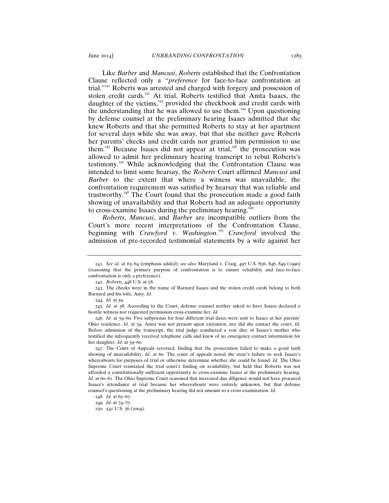Like *Barber* and *Mancusi*, *Roberts* established that the Confrontation Clause reflected only a "*preference* for face-to-face confrontation at trial."<sup>241</sup> Roberts was arrested and charged with forgery and possession of stolen credit cards.<sup>242</sup> At trial, Roberts testified that Anita Isaacs, the daughter of the victims,<sup>243</sup> provided the checkbook and credit cards with the understanding that he was allowed to use them.<sup>244</sup> Upon questioning by defense counsel at the preliminary hearing Isaacs admitted that she knew Roberts and that she permitted Roberts to stay at her apartment for several days while she was away, but that she neither gave Roberts her parents' checks and credit cards nor granted him permission to use them.<sup>245</sup> Because Isaacs did not appear at trial,<sup>246</sup> the prosecution was allowed to admit her preliminary hearing transcript to rebut Roberts's testimony.<sup>247</sup> While acknowledging that the Confrontation Clause was intended to limit some hearsay, the *Roberts* Court affirmed *Mancusi* and *Barber* to the extent that where a witness was unavailable, the confrontation requirement was satisfied by hearsay that was reliable and trustworthy.<sup>248</sup> The Court found that the prosecution made a good faith showing of unavailability and that Roberts had an adequate opportunity to cross-examine Isaacs during the preliminary hearing.<sup>2</sup>

*Roberts*, *Mancusi*, and *Barber* are incompatible outliers from the Court's more recent interpretations of the Confrontation Clause, beginning with *Crawford v. Washington*. <sup>250</sup> *Crawford* involved the admission of pre-recorded testimonial statements by a wife against her

247. The Court of Appeals reversed, finding that the prosecution failed to make a good faith showing of unavailability. *Id*. at 60. The court of appeals noted the state's failure to seek Isaacs's whereabouts for purposes of trial or otherwise determine whether she could be found. *Id.* The Ohio Supreme Court reinstated the trial court's finding on availability, but held that Roberts was not afforded a constitutionally sufficient opportunity to cross-examine Isaacs at the preliminary hearing. *Id.* at 60–61. The Ohio Supreme Court reasoned that increased due diligence would not have procured Isaacs's attendance at trial because her whereabouts were entirely unknown, but that defense counsel's questioning at the preliminary hearing did not amount to a cross-examination. *Id.*

<sup>241</sup>*. See id.* at 63–64 (emphasis added); *see also* Maryland v. Craig, 497 U.S. 836, 846, 849 (1990) (reasoning that the primary purpose of confrontation is to ensure reliability and face-to-face confrontation is only a preference).

<sup>242</sup>*. Roberts*, 448 U.S. at 58.

<sup>243</sup>. The checks were in the name of Barnard Isaacs and the stolen credit cards belong to both Barnard and his wife, Amy. *Id.* 

<sup>244</sup>*. Id.* at 59.

<sup>245</sup>*. Id*. at 58. According to the Court, defense counsel neither asked to have Isaacs declared a hostile witness nor requested permission cross-examine her. *Id.* 

<sup>246</sup>*. Id.* at 59–60. Five subpoenas for four different trial dates were sent to Isaacs at her parents' Ohio residence. *Id.* at 59. Anita was not present upon execution, nor did she contact the court. *Id.*  Before admission of the transcript, the trial judge conducted a voir dire of Isaacs's mother who testified she infrequently received telephone calls and knew of no emergency contact information for her daughter. *Id*. at 59–60.

<sup>248</sup>*. Id.* at 65–67.

<sup>249</sup>*. Id.* at 74–77.

<sup>250</sup>. 541 U.S. 36 (2004).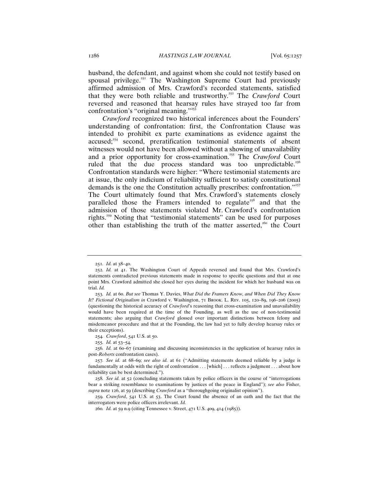husband, the defendant, and against whom she could not testify based on spousal privilege. $251$  The Washington Supreme Court had previously affirmed admission of Mrs. Crawford's recorded statements, satisfied that they were both reliable and trustworthy.<sup>252</sup> The *Crawford* Court reversed and reasoned that hearsay rules have strayed too far from confrontation's "original meaning."<sup>253</sup>

*Crawford* recognized two historical inferences about the Founders' understanding of confrontation: first, the Confrontation Clause was intended to prohibit ex parte examinations as evidence against the accused;<sup>254</sup> second, preratification testimonial statements of absent witnesses would not have been allowed without a showing of unavailability and a prior opportunity for cross-examination.<sup>255</sup> The *Crawford* Court ruled that the due process standard was too unpredictable.<sup>256</sup> Confrontation standards were higher: "Where testimonial statements are at issue, the only indicium of reliability sufficient to satisfy constitutional demands is the one the Constitution actually prescribes: confrontation."<sup>257</sup> The Court ultimately found that Mrs. Crawford's statements closely paralleled those the Framers intended to regulate<sup>258</sup> and that the admission of those statements violated Mr. Crawford's confrontation rights.<sup>259</sup> Noting that "testimonial statements" can be used for purposes other than establishing the truth of the matter asserted,<sup>260</sup> the Court

<sup>251</sup>*. Id.* at 38–40.

<sup>252</sup>*. Id.* at 41. The Washington Court of Appeals reversed and found that Mrs. Crawford's statements contradicted previous statements made in response to specific questions and that at one point Mrs. Crawford admitted she closed her eyes during the incident for which her husband was on trial. *Id.* 

<sup>253</sup>*. Id.* at 60. *But see* Thomas Y. Davies, *What Did the Framers Know, and When Did They Know It? Fictional Originalism in* Crawford v. Washington, 71 Brook. L. Rev. 105, 120–89, 196–206 (2005) (questioning the historical accuracy of *Crawford*'s reasoning that cross-examination and unavailability would have been required at the time of the Founding, as well as the use of non-testimonial statements; also arguing that *Crawford* glossed over important distinctions between felony and misdemeanor procedure and that at the Founding, the law had yet to fully develop hearsay rules or their exceptions).

<sup>254</sup>*. Crawford*, 541 U.S. at 50.

<sup>255</sup>*. Id.* at 53–54.

<sup>256</sup>*. Id.* at 60–67 (examining and discussing inconsistencies in the application of hearsay rules in post-*Roberts* confrontation cases).

<sup>257</sup>*. See id.* at 68–69; *see also id.* at 61 ("Admitting statements deemed reliable by a judge is fundamentally at odds with the right of confrontation . . . [which] . . . reflects a judgment . . . about how reliability can be best determined.").

<sup>258</sup>*. See id.* at 52 (concluding statements taken by police officers in the course of "interrogations bear a striking resemblance to examinations by justices of the peace in England"); *see also* Fisher, *supra* note 126, at 59 (describing *Crawford* as a "thoroughgoing originalist opinion").

<sup>259</sup>*. Crawford*, 541 U.S. at 53. The Court found the absence of an oath and the fact that the interrogators were police officers irrelevant. *Id.* 

<sup>260</sup>*. Id.* at 59 n.9 (citing Tennessee v. Street, 471 U.S. 409, 414 (1985)).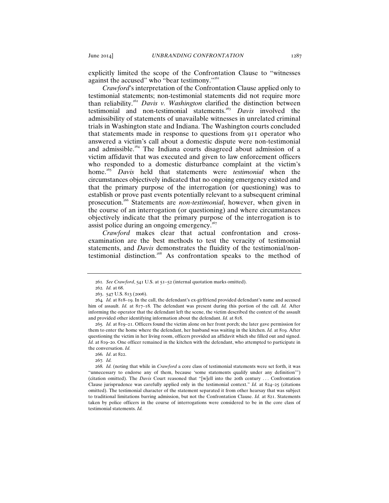explicitly limited the scope of the Confrontation Clause to "witnesses against the accused" who "bear testimony."<sup>261</sup>

*Crawford*'s interpretation of the Confrontation Clause applied only to testimonial statements; non-testimonial statements did not require more than reliability.<sup>262</sup> *Davis v. Washington* clarified the distinction between testimonial and non-testimonial statements.<sup>263</sup> *Davis* involved the admissibility of statements of unavailable witnesses in unrelated criminal trials in Washington state and Indiana. The Washington courts concluded that statements made in response to questions from 911 operator who answered a victim's call about a domestic dispute were non-testimonial and admissible.<sup>264</sup> The Indiana courts disagreed about admission of a victim affidavit that was executed and given to law enforcement officers who responded to a domestic disturbance complaint at the victim's home.<sup>265</sup> *Davis* held that statements were *testimonial* when the circumstances objectively indicated that no ongoing emergency existed and that the primary purpose of the interrogation (or questioning) was to establish or prove past events potentially relevant to a subsequent criminal prosecution.<sup>266</sup> Statements are *non-testimonial*, however, when given in the course of an interrogation (or questioning) and where circumstances objectively indicate that the primary purpose of the interrogation is to assist police during an ongoing emergency. $267$ 

*Crawford* makes clear that actual confrontation and crossexamination are the best methods to test the veracity of testimonial statements, and *Davis* demonstrates the fluidity of the testimonial/nontestimonial distinction.<sup>268</sup> As confrontation speaks to the method of

265*. Id.* at 819–21. Officers found the victim alone on her front porch; she later gave permission for them to enter the home where the defendant, her husband was waiting in the kitchen. *Id.* at 819. After questioning the victim in her living room, officers provided an affidavit which she filled out and signed. *Id.* at 819–20. One officer remained in the kitchen with the defendant, who attempted to participate in the conversation. *Id.*

267*. Id.*

268*. Id.* (noting that while in *Crawford* a core class of testimonial statements were set forth, it was "unnecessary to endorse any of them, because 'some statements qualify under any definition'") (citation omitted). The *Davis* Court reasoned that "[w]ell into the 20th century . . . Confrontation Clause jurisprudence was carefully applied only in the testimonial context." *Id.* at 824–25 (citations omitted). The testimonial character of the statement separated it from other hearsay that was subject to traditional limitations barring admission, but not the Confrontation Clause. *Id.* at 821. Statements taken by police officers in the course of interrogations were considered to be in the core class of testimonial statements. *Id.*

<sup>261</sup>*. See Crawford*, 541 U.S. at 51–52 (internal quotation marks omitted).

<sup>262</sup>*. Id.* at 68.

<sup>263</sup>. 547 U.S. 813 (2006).

<sup>264</sup>*. Id.* at 818–19. In the call, the defendant's ex-girlfriend provided defendant's name and accused him of assault. *Id.* at 817–18*.* The defendant was present during this portion of the call. *Id.* After informing the operator that the defendant left the scene, the victim described the context of the assault and provided other identifying information about the defendant. *Id.* at 818.

<sup>266</sup>*. Id*. at 822.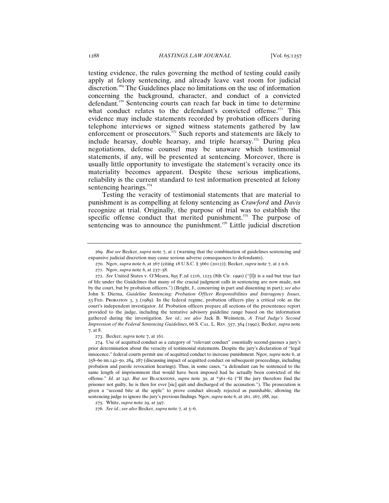testing evidence, the rules governing the method of testing could easily apply at felony sentencing, and already leave vast room for judicial discretion.<sup>269</sup> The Guidelines place no limitations on the use of information concerning the background, character, and conduct of a convicted defendant.<sup>270</sup> Sentencing courts can reach far back in time to determine what conduct relates to the defendant's convicted offense.<sup> $271$ </sup> This evidence may include statements recorded by probation officers during telephone interviews or signed witness statements gathered by law enforcement or prosecutors.<sup>272</sup> Such reports and statements are likely to include hearsay, double hearsay, and triple hearsay.<sup>273</sup> During plea negotiations, defense counsel may be unaware which testimonial statements, if any, will be presented at sentencing. Moreover, there is usually little opportunity to investigate the statement's veracity once its materiality becomes apparent. Despite these serious implications, reliability is the current standard to test information presented at felony sentencing hearings. $^{274}$ 

Testing the veracity of testimonial statements that are material to punishment is as compelling at felony sentencing as *Crawford* and *Davis* recognize at trial. Originally, the purpose of trial was to establish the specific offense conduct that merited punishment.<sup>275</sup> The purpose of sentencing was to announce the punishment.<sup> $276$ </sup> Little judicial discretion

270. Ngov, *supra* note 6, at 267 (citing 18 U.S.C. § 3661 (2012)); Becker, *supra* note 7, at 2 n.6.

<sup>269</sup>*. But see* Becker, *supra* note 7, at 2 (warning that the combination of guidelines sentencing and expansive judicial discretion may cause serious adverse consequences to defendants).

<sup>271</sup>. Ngov, *supra* note 6, at 237–38.

<sup>272</sup>. *See* United States v. O'Meara, 895 F.2d 1216, 1223 (8th Cir. 1990) ("[I]t is a sad but true fact of life under the Guidelines that many of the crucial judgment calls in sentencing are now made, not by the court, but by probation officers.") (Bright, J., concurring in part and dissenting in part); *see also*  John S. Dierna, *Guideline Sentencing: Probation Officer Responsibilities and Interagency Issues*, 53 Fed. Probation 3, 3 (1989). In the federal regime, probation officers play a critical role as the court's independent investigator. *Id.* Probation officers prepare all sections of the presentence report provided to the judge, including the tentative advisory guideline range based on the information gathered during the investigation. *See id.*; *see also* Jack B. Weinstein, *A Trial Judge's Second Impression of the Federal Sentencing Guidelines*, 66 S. Cal. L. Rev. 357, 364 (1992); Becker, *supra* note 7, at 8.

<sup>273</sup>. Becker, *supra* note 7, at 161.

<sup>274</sup>. Use of acquitted conduct as a category of "relevant conduct" essentially second-guesses a jury's prior determination about the veracity of testimonial statements. Despite the jury's declaration of "legal innocence," federal courts permit use of acquitted conduct to increase punishment. Ngov*, supra* note 6, at 258–60 nn.142–50, 284, 287 (discussing impact of acquitted conduct on subsequent proceedings, including probation and parole revocation hearings). Thus, in some cases, "a defendant can be sentenced to the same length of imprisonment that would have been imposed had he actually been convicted of the offense." *Id.* at 242. *But see* Blackstone, *supra* note 30, at \*361–62 ("If the jury therefore find the prisoner not guilty, he is then for ever [sic] quit and discharged of the accusation."). The prosecution is given a "second bite at the apple" to prove conduct already rejected as punishable, allowing the sentencing judge to ignore the jury's previous findings. Ngov, *supra* note 6, at 261, 267, 288, 291.

<sup>275</sup>. White, *supra* note 29, at 397.

<sup>276</sup>*. See id.*; *see also* Becker, *supra* note 7, at 5–6.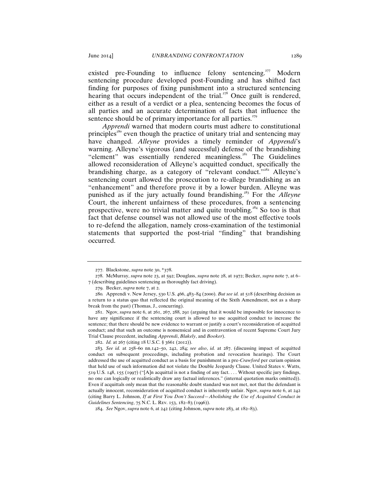existed pre-Founding to influence felony sentencing.<sup>277</sup> Modern sentencing procedure developed post-Founding and has shifted fact finding for purposes of fixing punishment into a structured sentencing hearing that occurs independent of the trial.<sup> $278$ </sup> Once guilt is rendered, either as a result of a verdict or a plea, sentencing becomes the focus of all parties and an accurate determination of facts that influence the sentence should be of primary importance for all parties.<sup> $279$ </sup>

*Apprendi* warned that modern courts must adhere to constitutional principles<sup>280</sup> even though the practice of unitary trial and sentencing may have changed. *Alleyne* provides a timely reminder of *Apprendi*'s warning. Alleyne's vigorous (and successful) defense of the brandishing "element" was essentially rendered meaningless.<sup>281</sup> The Guidelines allowed reconsideration of Alleyne's acquitted conduct, specifically the brandishing charge, as a category of "relevant conduct."<sup>282</sup> Alleyne's sentencing court allowed the prosecution to re-allege brandishing as an "enhancement" and therefore prove it by a lower burden. Alleyne was punished as if the jury actually found brandishing.<sup>283</sup> For the *Alleyne* Court, the inherent unfairness of these procedures, from a sentencing prospective, were no trivial matter and quite troubling.<sup>284</sup> So too is that fact that defense counsel was not allowed use of the most effective tools to re-defend the allegation, namely cross-examination of the testimonial statements that supported the post-trial "finding" that brandishing occurred.

<sup>277</sup>. Blackstone, *supra* note 30, \*378.

<sup>278</sup>. McMurray, *supra* note 23, at 592; Douglass, *supra* note 28, at 1972; Becker, *supra* note 7, at 6– 7 (describing guidelines sentencing as thoroughly fact driving).

<sup>279</sup>. Becker, *supra* note 7, at 2.

<sup>280</sup>*.* Apprendi v. New Jersey, 530 U.S. 466, 483–84 (2000). *But see id.* at 518 (describing decision as a return to a status quo that reflected the original meaning of the Sixth Amendment, not as a sharp break from the past) (Thomas, J., concurring).

<sup>281</sup>. Ngov, *supra* note 6, at 261, 267, 288, 291 (arguing that it would be impossible for innocence to have any significance if the sentencing court is allowed to use acquitted conduct to increase the sentence; that there should be new evidence to warrant or justify a court's reconsideration of acquitted conduct; and that such an outcome is nonsensical and in contravention of recent Supreme Court Jury Trial Clause precedent, including *Apprendi*, *Blakely*, and *Booker*).

<sup>282</sup>. *Id.* at 267 (citing 18 U.S.C. § 3661 (2012)).

<sup>283</sup>*. See id.* at 258–60 nn.142–50, 242, 284; *see also*, *id.* at 287. (discussing impact of acquitted conduct on subsequent proceedings, including probation and revocation hearings). The Court addressed the use of acquitted conduct as a basis for punishment in a pre-*Crawford* per curiam opinion that held use of such information did not violate the Double Jeopardy Clause. United States v. Watts, 519 U.S. 148, 155 (1997) ("[A]n acquittal is not a finding of any fact. . . . Without specific jury findings, no one can logically or realistically draw any factual inferences." (internal quotation marks omitted)). Even if acquittals only mean that the reasonable doubt standard was not met, not that the defendant is actually innocent, reconsideration of acquitted conduct is inherently unfair. Ngov, *supra* note 6, at 242 (citing Barry L. Johnson, *If at First You Don't Succeed—Abolishing the Use of Acquitted Conduct in Guidelines Sentencing*, 75 N.C. L. Rev. 153, 182–83 (1996)).

<sup>284</sup>. *See* Ngov, *supra* note 6, at 242 (citing Johnson, *supra* note 283, at 182–83).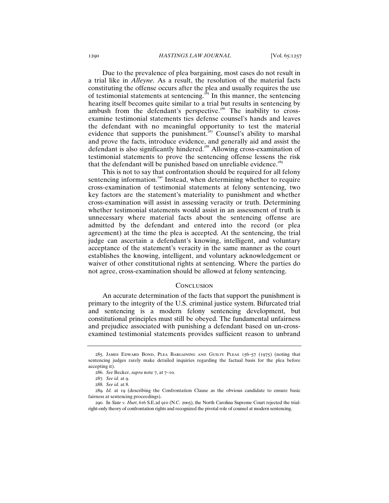Due to the prevalence of plea bargaining, most cases do not result in a trial like in *Alleyne*. As a result, the resolution of the material facts constituting the offense occurs after the plea and usually requires the use of testimonial statements at sentencing.<sup>285</sup> In this manner, the sentencing hearing itself becomes quite similar to a trial but results in sentencing by ambush from the defendant's perspective.<sup>286</sup> The inability to crossexamine testimonial statements ties defense counsel's hands and leaves the defendant with no meaningful opportunity to test the material evidence that supports the punishment.<sup>287</sup> Counsel's ability to marshal and prove the facts, introduce evidence, and generally aid and assist the defendant is also significantly hindered.<sup>288</sup> Allowing cross-examination of testimonial statements to prove the sentencing offense lessens the risk that the defendant will be punished based on unreliable evidence.<sup>289</sup>

This is not to say that confrontation should be required for all felony sentencing information.<sup>290</sup> Instead, when determining whether to require cross-examination of testimonial statements at felony sentencing, two key factors are the statement's materiality to punishment and whether cross-examination will assist in assessing veracity or truth. Determining whether testimonial statements would assist in an assessment of truth is unnecessary where material facts about the sentencing offense are admitted by the defendant and entered into the record (or plea agreement) at the time the plea is accepted. At the sentencing, the trial judge can ascertain a defendant's knowing, intelligent, and voluntary acceptance of the statement's veracity in the same manner as the court establishes the knowing, intelligent, and voluntary acknowledgement or waiver of other constitutional rights at sentencing. Where the parties do not agree, cross-examination should be allowed at felony sentencing.

#### **CONCLUSION**

An accurate determination of the facts that support the punishment is primary to the integrity of the U.S. criminal justice system. Bifurcated trial and sentencing is a modern felony sentencing development, but constitutional principles must still be obeyed. The fundamental unfairness and prejudice associated with punishing a defendant based on un-crossexamined testimonial statements provides sufficient reason to unbrand

<sup>285</sup>. James Edward Bond, Plea Bargaining and Guilty Pleas 156–57 (1975) (noting that sentencing judges rarely make detailed inquiries regarding the factual basis for the plea before accepting it).

<sup>286</sup>. *See* Becker, *supra* note 7, at 7–10.

<sup>287</sup>*. See id.* at 9.

<sup>288</sup>*. See id.* at 8.

<sup>289</sup>*. Id.* at 19 (describing the Confrontation Clause as the obvious candidate to ensure basic fairness at sentencing proceedings).

<sup>290</sup>. In *State v. Hurt*, 616 S.E.2d 910 (N.C. 2005), the North Carolina Supreme Court rejected the trialright-only theory of confrontation rights and recognized the pivotal role of counsel at modern sentencing.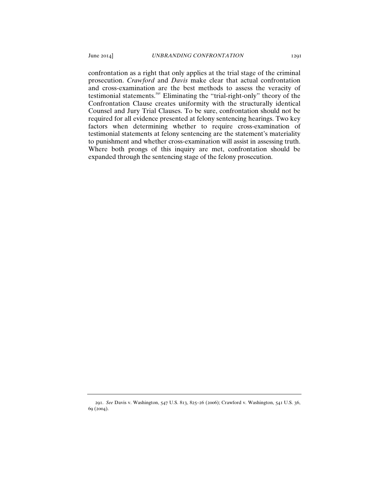confrontation as a right that only applies at the trial stage of the criminal prosecution. *Crawford* and *Davis* make clear that actual confrontation and cross-examination are the best methods to assess the veracity of testimonial statements.<sup>291</sup> Eliminating the "trial-right-only" theory of the Confrontation Clause creates uniformity with the structurally identical Counsel and Jury Trial Clauses. To be sure, confrontation should not be required for all evidence presented at felony sentencing hearings. Two key factors when determining whether to require cross-examination of testimonial statements at felony sentencing are the statement's materiality to punishment and whether cross-examination will assist in assessing truth. Where both prongs of this inquiry are met, confrontation should be expanded through the sentencing stage of the felony prosecution.

<sup>291</sup>. *See* Davis v. Washington, 547 U.S. 813, 825–26 (2006); Crawford v. Washington, 541 U.S. 36, 69 (2004).